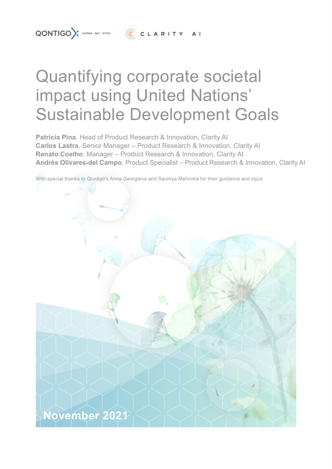# Quantifying corporate societal impact using United Nations' Sustainable Development Goals

**Patricia Pina**, Head of Product Research & Innovation, Clarity AI **Carlos Lastra**, Senior Manager – Product Research & Innovation, Clarity AI **Renato Coelho**, Manager – Product Research & Innovation, Clarity AI **Andrés Olivares-del Campo**, Product Specialist – Product Research & Innovation, Clarity AI

With special thanks to Qontigo's Anna Georgieva and Saumya Mehrotra for their guidance and input

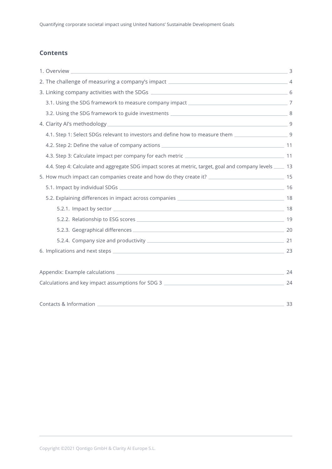# **Contents**

| 1. Overview                                                                                                                                                                                                                    |    |
|--------------------------------------------------------------------------------------------------------------------------------------------------------------------------------------------------------------------------------|----|
|                                                                                                                                                                                                                                |    |
|                                                                                                                                                                                                                                |    |
|                                                                                                                                                                                                                                |    |
|                                                                                                                                                                                                                                |    |
| 4. Clarity Al's methodology entitled and the state of the state of the state of the state of the state of the state of the state of the state of the state of the state of the state of the state of the state of the state of |    |
| 4.1. Step 1: Select SDGs relevant to investors and define how to measure them ________________________________9                                                                                                                |    |
|                                                                                                                                                                                                                                |    |
|                                                                                                                                                                                                                                |    |
| 4.4. Step 4: Calculate and aggregate SDG impact scores at metric, target, goal and company levels ____ 13                                                                                                                      |    |
| 5. How much impact can companies create and how do they create it? _________________________________ 15                                                                                                                        |    |
|                                                                                                                                                                                                                                |    |
|                                                                                                                                                                                                                                |    |
|                                                                                                                                                                                                                                |    |
|                                                                                                                                                                                                                                |    |
|                                                                                                                                                                                                                                |    |
|                                                                                                                                                                                                                                |    |
|                                                                                                                                                                                                                                |    |
|                                                                                                                                                                                                                                |    |
|                                                                                                                                                                                                                                |    |
| Calculations and key impact assumptions for SDG 3 _______________________________                                                                                                                                              | 24 |
|                                                                                                                                                                                                                                |    |
| $\sim$ 33                                                                                                                                                                                                                      |    |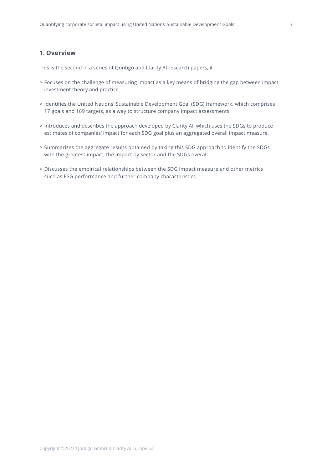# <span id="page-2-0"></span>**1. Overview**

This is the second in a series of Qontigo and Clarity AI research papers, it

- > Focuses on the challenge of measuring impact as a key means of bridging the gap between impact investment theory and practice.
- > Identifies the United Nations' Sustainable Development Goal (SDG) framework, which comprises 17 goals and 169 targets, as a way to structure company impact assessments.
- > Introduces and describes the approach developed by Clarity AI, which uses the SDGs to produce estimates of companies' impact for each SDG goal plus an aggregated overall impact measure.
- > Summarizes the aggregate results obtained by taking this SDG approach to identify the SDGs with the greatest impact, the impact by sector and the SDGs overall.
- > Discusses the empirical relationships between the SDG impact measure and other metrics such as ESG performance and further company characteristics.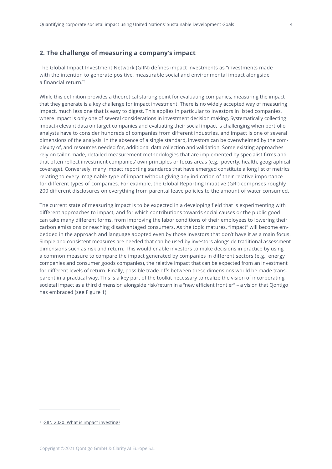# <span id="page-3-0"></span>**2. The challenge of measuring a company's impact**

The Global Impact Investment Network (GIIN) defines impact investments as "investments made with the intention to generate positive, measurable social and environmental impact alongside a financial return."1

While this definition provides a theoretical starting point for evaluating companies, measuring the impact that they generate is a key challenge for impact investment. There is no widely accepted way of measuring impact, much less one that is easy to digest. This applies in particular to investors in listed companies, where impact is only one of several considerations in investment decision making. Systematically collecting impact-relevant data on target companies and evaluating their social impact is challenging when portfolio analysts have to consider hundreds of companies from different industries, and impact is one of several dimensions of the analysis. In the absence of a single standard, investors can be overwhelmed by the complexity of, and resources needed for, additional data collection and validation. Some existing approaches rely on tailor-made, detailed measurement methodologies that are implemented by specialist firms and that often reflect investment companies' own principles or focus areas (e.g., poverty, health, geographical coverage). Conversely, many impact reporting standards that have emerged constitute a long list of metrics relating to every imaginable type of impact without giving any indication of their relative importance for different types of companies. For example, the Global Reporting Initiative (GRI) comprises roughly 200 different disclosures on everything from parental leave policies to the amount of water consumed.

The current state of measuring impact is to be expected in a developing field that is experimenting with different approaches to impact, and for which contributions towards social causes or the public good can take many different forms, from improving the labor conditions of their employees to lowering their carbon emissions or reaching disadvantaged consumers. As the topic matures, "impact" will become embedded in the approach and language adopted even by those investors that don't have it as a main focus. Simple and consistent measures are needed that can be used by investors alongside traditional assessment dimensions such as risk and return. This would enable investors to make decisions in practice by using a common measure to compare the impact generated by companies in different sectors (e.g., energy companies and consumer goods companies), the relative impact that can be expected from an investment for different levels of return. Finally, possible trade-offs between these dimensions would be made transparent in a practical way. This is a key part of the toolkit necessary to realize the vision of incorporating societal impact as a third dimension alongside risk/return in a "new efficient frontier" – a vision that Qontigo has embraced (see Figure 1).

<sup>&</sup>lt;sup>1</sup> [GIIN 2020. What is impact investing?](https://thegiin.org/impact-investing/need-to-know/#what-is-impact-investing)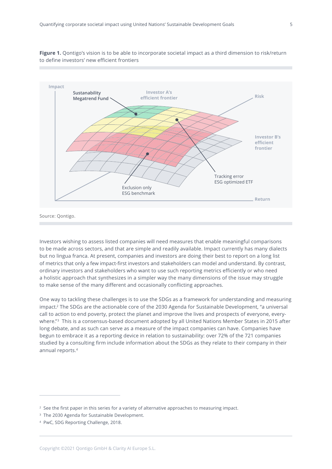



Source: Qontigo.

Investors wishing to assess listed companies will need measures that enable meaningful comparisons to be made across sectors, and that are simple and readily available. Impact currently has many dialects but no lingua franca. At present, companies and investors are doing their best to report on a long list of metrics that only a few impact-first investors and stakeholders can model and understand. By contrast, ordinary investors and stakeholders who want to use such reporting metrics efficiently or who need a holistic approach that synthesizes in a simpler way the many dimensions of the issue may struggle to make sense of the many different and occasionally conflicting approaches.

One way to tackling these challenges is to use the SDGs as a framework for understanding and measuring impact.2 The SDGs are the actionable core of the 2030 Agenda for Sustainable Development, "a universal call to action to end poverty, protect the planet and improve the lives and prospects of everyone, everywhere."<sup>3</sup> This is a consensus-based document adopted by all United Nations Member States in 2015 after long debate, and as such can serve as a measure of the impact companies can have. Companies have begun to embrace it as a reporting device in relation to sustainability: over 72% of the 721 companies studied by a consulting firm include information about the SDGs as they relate to their company in their annual reports.4

<sup>&</sup>lt;sup>2</sup> See the first paper in this series for a variety of alternative approaches to measuring impact.

<sup>&</sup>lt;sup>3</sup> The 2030 Agenda for Sustainable Development.

<sup>4</sup> PwC, SDG Reporting Challenge, 2018.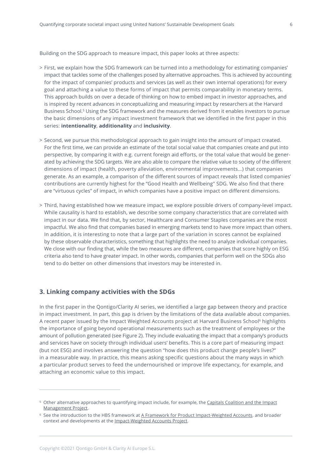<span id="page-5-0"></span>Building on the SDG approach to measure impact, this paper looks at three aspects:

- > First, we explain how the SDG framework can be turned into a methodology for estimating companies' impact that tackles some of the challenges posed by alternative approaches. This is achieved by accounting for the impact of companies' products and services (as well as their own internal operations) for every goal and attaching a value to these forms of impact that permits comparability in monetary terms. This approach builds on over a decade of thinking on how to embed impact in investor approaches, and is inspired by recent advances in conceptualizing and measuring impact by researchers at the Harvard Business School.5 Using the SDG framework and the measures derived from it enables investors to pursue the basic dimensions of any impact investment framework that we identified in the first paper in this series: **intentionality**, **additionality** and **inclusivity**.
- > Second, we pursue this methodological approach to gain insight into the amount of impact created. For the first time, we can provide an estimate of the total social value that companies create and put into perspective, by comparing it with e.g. current foreign aid efforts, or the total value that would be generated by achieving the SDG targets. We are also able to compare the relative value to society of the different dimensions of impact (health, poverty alleviation, environmental improvements…) that companies generate. As an example, a comparison of the different sources of impact reveals that listed companies' contributions are currently highest for the "Good Health and Wellbeing" SDG. We also find that there are "virtuous cycles" of impact, in which companies have a positive impact on different dimensions.
- > Third, having established how we measure impact, we explore possible drivers of company-level impact. While causality is hard to establish, we describe some company characteristics that are correlated with impact in our data. We find that, by sector, Healthcare and Consumer Staples companies are the most impactful. We also find that companies based in emerging markets tend to have more impact than others. In addition, it is interesting to note that a large part of the variation in scores cannot be explained by these observable characteristics, something that highlights the need to analyze individual companies. We close with our finding that, while the two measures are different, companies that score highly on ESG criteria also tend to have greater impact. In other words, companies that perform well on the SDGs also tend to do better on other dimensions that investors may be interested in.

# **3. Linking company activities with the SDGs**

In the first paper in the Qontigo/Clarity AI series, we identified a large gap between theory and practice in impact investment. In part, this gap is driven by the limitations of the data available about companies. A recent paper issued by the Impact Weighted Accounts project at Harvard Business School<sup>6</sup> highlights the importance of going beyond operational measurements such as the treatment of employees or the amount of pollution generated (see Figure 2). They include evaluating the impact that a company's products and services have on society through individual users' benefits. This is a core part of measuring impact (but not ESG) and involves answering the question "how does this product change people's lives?" in a measurable way. In practice, this means asking specific questions about the many ways in which a particular product serves to feed the undernourished or improve life expectancy, for example, and attaching an economic value to this impact.

<sup>5</sup> Other alternative approaches to quantifying impact include, for example, the [Capitals Coalition and the Impact](https://capitalscoalition.org/) [Management Project.](https://capitalscoalition.org/)

<sup>&</sup>lt;sup>6</sup> See the introduction to the HBS framework at [A Framework for Product Impact-Weighted Accounts.](https://www.hbs.edu/faculty/Pages/item.aspx?num=57580) and broader context and developments at the [Impact-Weighted Accounts Project.](https://www.hbs.edu/impact-weighted-accounts/Pages/default.aspx)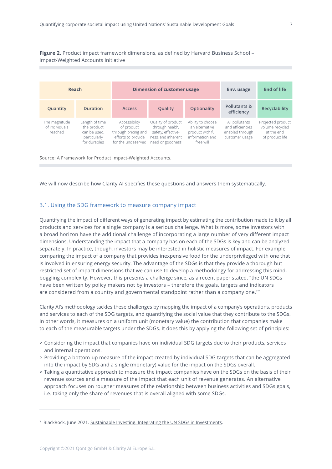<span id="page-6-0"></span>**Figure 2.** Product impact framework dimensions, as defined by Harvard Business School – Impact-Weighted Accounts Initiative



Source[: A Framework for Product Impact-Weighted Accounts.](https://www.hbs.edu/faculty/Pages/item.aspx?num=57580)

We will now describe how Clarity AI specifies these questions and answers them systematically.

## 3.1. Using the SDG framework to measure company impact

Quantifying the impact of different ways of generating impact by estimating the contribution made to it by all products and services for a single company is a serious challenge. What is more, some investors with a broad horizon have the additional challenge of incorporating a large number of very different impact dimensions. Understanding the impact that a company has on each of the SDGs is key and can be analyzed separately. In practice, though, investors may be interested in holistic measures of impact. For example, comparing the impact of a company that provides inexpensive food for the underprivileged with one that is involved in ensuring energy security. The advantage of the SDGs is that they provide a thorough but restricted set of impact dimensions that we can use to develop a methodology for addressing this mindboggling complexity. However, this presents a challenge since, as a recent paper stated, "the UN SDGs have been written by policy makers not by investors – therefore the goals, targets and indicators are considered from a country and governmental standpoint rather than a company one."7

Clarity AI's methodology tackles these challenges by mapping the impact of a company's operations, products and services to each of the SDG targets, and quantifying the social value that they contribute to the SDGs. In other words, it measures on a uniform unit (monetary value) the contribution that companies make to each of the measurable targets under the SDGs. It does this by applying the following set of principles:

- > Considering the impact that companies have on individual SDG targets due to their products, services and internal operations.
- > Providing a bottom-up measure of the impact created by individual SDG targets that can be aggregated into the impact by SDG and a single (monetary) value for the impact on the SDGs overall.
- > Taking a quantitative approach to measure the impact companies have on the SDGs on the basis of their revenue sources and a measure of the impact that each unit of revenue generates. An alternative approach focuses on rougher measures of the relationship between business activities and SDGs goals, i.e. taking only the share of revenues that is overall aligned with some SDGs.

<sup>&</sup>lt;sup>7</sup> BlackRock, June 2021. [Sustainable Investing. Integrating the UN SDGs in Investments.](https://www.blackrock.com/institutions/en-ch/insights/investment-actions/integrating-un-sdgs-in-investments)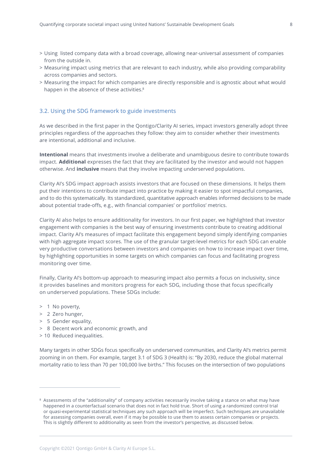- <span id="page-7-0"></span>> Using listed company data with a broad coverage, allowing near-universal assessment of companies from the outside in.
- > Measuring impact using metrics that are relevant to each industry, while also providing comparability across companies and sectors.
- > Measuring the impact for which companies are directly responsible and is agnostic about what would happen in the absence of these activities.<sup>8</sup>

#### 3.2. Using the SDG framework to guide investments

As we described in the first paper in the Qontigo/Clarity AI series, impact investors generally adopt three principles regardless of the approaches they follow: they aim to consider whether their investments are intentional, additional and inclusive.

**Intentional** means that investments involve a deliberate and unambiguous desire to contribute towards impact. **Additional** expresses the fact that they are facilitated by the investor and would not happen otherwise. And **inclusive** means that they involve impacting underserved populations.

Clarity AI's SDG impact approach assists investors that are focused on these dimensions. It helps them put their intentions to contribute impact into practice by making it easier to spot impactful companies, and to do this systematically. Its standardized, quantitative approach enables informed decisions to be made about potential trade-offs, e.g., with financial companies' or portfolios' metrics.

Clarity AI also helps to ensure additionality for investors. In our first paper, we highlighted that investor engagement with companies is the best way of ensuring investments contribute to creating additional impact. Clarity AI's measures of impact facilitate this engagement beyond simply identifying companies with high aggregate impact scores. The use of the granular target-level metrics for each SDG can enable very productive conversations between investors and companies on how to increase impact over time, by highlighting opportunities in some targets on which companies can focus and facilitating progress monitoring over time.

Finally, Clarity AI's bottom-up approach to measuring impact also permits a focus on inclusivity, since it provides baselines and monitors progress for each SDG, including those that focus specifically on underserved populations. These SDGs include:

- > 1 No poverty,
- > 2 Zero hunger,
- > 5 Gender equality,
- > 8 Decent work and economic growth, and
- > 10 Reduced inequalities.

Many targets in other SDGs focus specifically on underserved communities, and Clarity AI's metrics permit zooming in on them. For example, target 3.1 of SDG 3 (Health) is: "By 2030, reduce the global maternal mortality ratio to less than 70 per 100,000 live births." This focuses on the intersection of two populations

<sup>8</sup> Assessments of the "additionality" of company activities necessarily involve taking a stance on what may have happened in a counterfactual scenario that does not in fact hold true. Short of using a randomized control trial or quasi-experimental statistical techniques any such approach will be imperfect. Such techniques are unavailable for assessing companies overall, even if it may be possible to use them to assess certain companies or projects. This is slightly different to additionality as seen from the investor's perspective, as discussed below.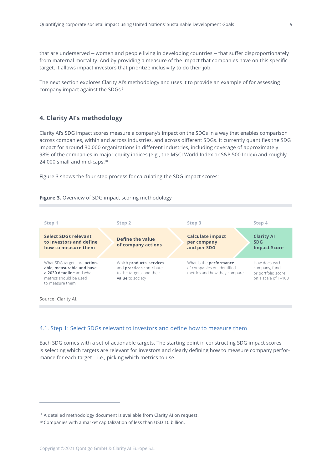<span id="page-8-0"></span>that are underserved – women and people living in developing countries – that suffer disproportionately from maternal mortality. And by providing a measure of the impact that companies have on this specific target, it allows impact investors that prioritize inclusivity to do their job.

The next section explores Clarity AI's methodology and uses it to provide an example of for assessing company impact against the SDGs.9

# **4. Clarity AI's methodology**

Clarity AI's SDG impact scores measure a company's impact on the SDGs in a way that enables comparison across companies, within and across industries, and across different SDGs. It currently quantifies the SDG impact for around 30,000 organizations in different industries, including coverage of approximately 98% of the companies in major equity indices (e.g., the MSCI World Index or S&P 500 Index) and roughly 24,000 small and mid-caps.10

Figure 3 shows the four-step process for calculating the SDG impact scores:





Source: Clarity Al.

# 4.1. Step 1: Select SDGs relevant to investors and define how to measure them

Each SDG comes with a set of actionable targets. The starting point in constructing SDG impact scores is selecting which targets are relevant for investors and clearly defining how to measure company performance for each target – i.e., picking which metrics to use.

<sup>&</sup>lt;sup>9</sup> A detailed methodology document is available from Clarity AI on request.

<sup>10</sup> Companies with a market capitalization of less than USD 10 billion.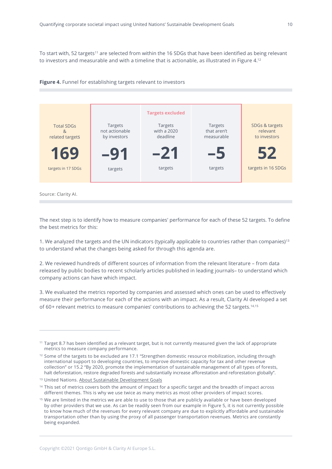To start with, 52 targets<sup>11</sup> are selected from within the 16 SDGs that have been identified as being relevant to investors and measurable and with a timeline that is actionable, as illustrated in Figure 4.12





Source: Clarity Al.

The next step is to identify how to measure companies' performance for each of these 52 targets. To define the best metrics for this:

1. We analyzed the targets and the UN indicators (typically applicable to countries rather than companies)13 to understand what the changes being asked for through this agenda are.

2. We reviewed hundreds of different sources of information from the relevant literature – from data released by public bodies to recent scholarly articles published in leading journals– to understand which company actions can have which impact.

3. We evaluated the metrics reported by companies and assessed which ones can be used to effectively measure their performance for each of the actions with an impact. As a result, Clarity AI developed a set of 60+ relevant metrics to measure companies' contributions to achieving the 52 targets.14,15

<sup>11</sup> Target 8.7 has been identified as a relevant target, but is not currently measured given the lack of appropriate metrics to measure company performance.

<sup>12</sup> Some of the targets to be excluded are 17.1 "Strengthen domestic resource mobilization, including through international support to developing countries, to improve domestic capacity for tax and other revenue collection" or 15.2 "By 2020, promote the implementation of sustainable management of all types of forests, halt deforestation, restore degraded forests and substantially increase afforestation and reforestation globally".

<sup>13</sup> United Nations. [About Sustainable Development Goals](https://www.un.org/sustainabledevelopment/sustainable-development-goals/)

<sup>&</sup>lt;sup>14</sup> This set of metrics covers both the amount of impact for a specific target and the breadth of impact across different themes. This is why we use twice as many metrics as most other providers of impact scores.

<sup>&</sup>lt;sup>15</sup> We are limited in the metrics we are able to use to those that are publicly available or have been developed by other providers that we use. As can be readily seen from our example in Figure 5, it is not currently possible to know how much of the revenues for every relevant company are due to explicitly affordable and sustainable transportation other than by using the proxy of all passenger transportation revenues. Metrics are constantly being expanded.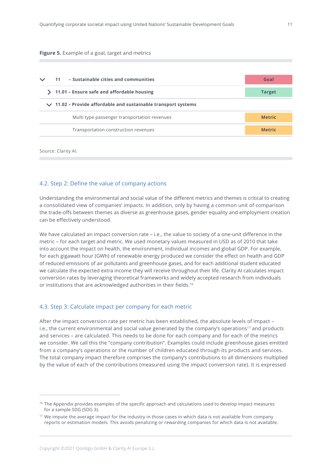#### <span id="page-10-0"></span>**Figure 5.** Example of a goal, target and metrics

| - Sustainable cities and communities<br>11                          | Goal          |
|---------------------------------------------------------------------|---------------|
| 11.01 - Ensure safe and affordable housing                          | <b>Target</b> |
| $\vee$ 11.02 – Provide affordable and sustainable transport systems |               |
| Multi type passenger transportation revenues                        | <b>Metric</b> |
| Transportation construction revenues                                | <b>Metric</b> |

Source: Clarity Al.

# 4.2. Step 2: Define the value of company actions

Understanding the environmental and social value of the different metrics and themes is critical to creating a consolidated view of companies' impacts. In addition, only by having a common unit of comparison the trade-offs between themes as diverse as greenhouse gases, gender equality and employment creation can be effectively understood.

We have calculated an impact conversion rate – i.e., the value to society of a one-unit difference in the metric – for each target and metric. We used monetary values measured in USD as of 2010 that take into account the impact on health, the environment, individual incomes and global GDP. For example, for each gigawatt hour (GWh) of renewable energy produced we consider the effect on health and GDP of reduced emissions of air pollutants and greenhouse gases, and for each additional student educated we calculate the expected extra income they will receive throughout their life. Clarity AI calculates impact conversion rates by leveraging theoretical frameworks and widely accepted research from individuals or institutions that are acknowledged authorities in their fields.16

#### 4.3. Step 3: Calculate impact per company for each metric

After the impact conversion rate per metric has been established, the absolute levels of impact – i.e., the current environmental and social value generated by the company's operations<sup>17</sup> and products and services – are calculated. This needs to be done for each company and for each of the metrics we consider. We call this the "company contribution". Examples could include greenhouse gases emitted from a company's operations or the number of children educated through its products and services. The total company impact therefore comprises the company's contributions to all dimensions multiplied by the value of each of the contributions (measured using the impact conversion rate). It is expressed

<sup>16</sup> The Appendix provides examples of the specific approach and calculations used to develop impact measures for a sample SDG (SDG 3).

<sup>&</sup>lt;sup>17</sup> We impute the average impact for the industry in those cases in which data is not available from company reports or estimation models. This avoids penalizing or rewarding companies for which data is not available.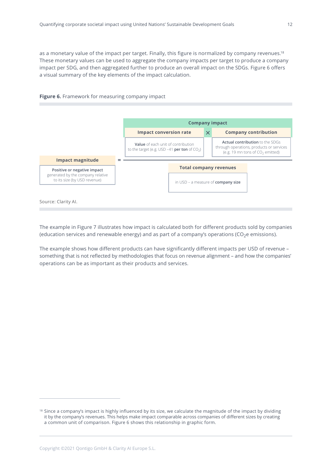as a monetary value of the impact per target. Finally, this figure is normalized by company revenues.<sup>18</sup> These monetary values can be used to aggregate the company impacts per target to produce a company impact per SDG, and then aggregated further to produce an overall impact on the SDGs. Figure 6 offers a visual summary of the key elements of the impact calculation.



**Figure 6.** Framework for measuring company impact

The example in Figure 7 illustrates how impact is calculated both for different products sold by companies (education services and renewable energy) and as part of a company's operations ( $CO<sub>2</sub>e$  emissions).

The example shows how different products can have significantly different impacts per USD of revenue – something that is not reflected by methodologies that focus on revenue alignment – and how the companies' operations can be as important as their products and services.

<sup>&</sup>lt;sup>18</sup> Since a company's impact is highly influenced by its size, we calculate the magnitude of the impact by dividing it by the company's revenues. This helps make impact comparable across companies of different sizes by creating a common unit of comparison. Figure 6 shows this relationship in graphic form.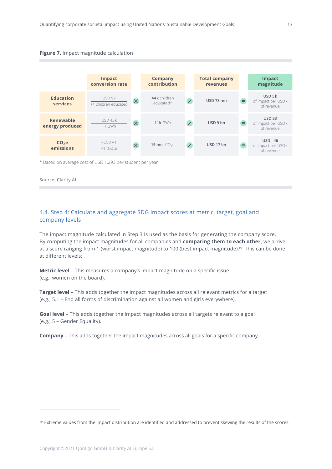<span id="page-12-0"></span>



Source: Clarity AI.

# 4.4. Step 4: Calculate and aggregate SDG impact scores at metric, target, goal and company levels

The impact magnitude calculated in Step 3 is used as the basis for generating the company score. By computing the impact magnitudes for all companies and **comparing them to each other,** we arrive at a score ranging from 1 (worst impact magnitude) to 100 (best impact magnitude).19 This can be done at different levels:

**Metric level** – This measures a company's impact magnitude on a specific issue (e.g., women on the board).

**Target level** – This adds together the impact magnitudes across all relevant metrics for a target (e.g., 5.1 – End all forms of discrimination against all women and girls everywhere).

**Goal level** – This adds together the impact magnitudes across all targets relevant to a goal (e.g., 5 – Gender Equality).

**Company** – This adds together the impact magnitudes across all goals for a specific company.

<sup>&</sup>lt;sup>19</sup> Extreme values from the impact distribution are identified and addressed to prevent skewing the results of the scores.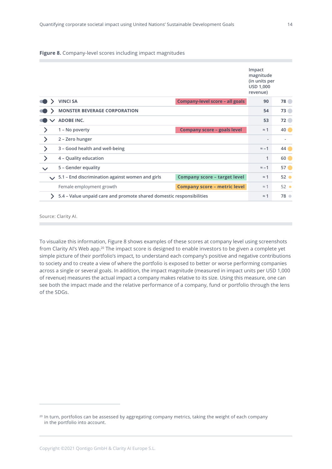#### **Figure 8.** Company-level scores including impact magnitudes

|               |        |                                                                      |                                     | Impact<br>magnitude<br>(in units per<br><b>USD 1,000</b><br>revenue) |                 |
|---------------|--------|----------------------------------------------------------------------|-------------------------------------|----------------------------------------------------------------------|-----------------|
|               |        | <b>VINCI SA</b>                                                      | Company-level score - all goals     | 90                                                                   | <b>78</b>       |
|               |        | <b>MONSTER BEVERAGE CORPORATION</b>                                  |                                     | 54                                                                   | 73              |
|               |        | <b>ADOBE INC.</b>                                                    |                                     | 53                                                                   | $72$ $\bullet$  |
| $\geq$        |        | 1 - No poverty                                                       | <b>Company score - goals level</b>  | $\approx$ 1                                                          | 40              |
| ゝ             |        | 2 - Zero hunger                                                      |                                     |                                                                      | ٠               |
| $\mathcal{E}$ |        | 3 - Good health and well-being                                       |                                     | $\approx -1$                                                         | 44              |
|               |        | 4 - Quality education                                                |                                     | 1                                                                    | 60              |
|               |        | 5 - Gender equality                                                  |                                     | $\approx -1$                                                         | $57$ $\bullet$  |
|               | $\sim$ | 5.1 - End discrimination against women and girls                     | <b>Company score - target level</b> | $\approx$ 1                                                          | 52 <sub>o</sub> |
|               |        | Female employment growth                                             | <b>Company score - metric level</b> | $\approx$ 1                                                          | $52$ $\bullet$  |
|               |        | 5.4 - Value unpaid care and promote shared domestic responsibilities |                                     | $\approx$ 1                                                          | 78 ●            |

Source: Clarity Al.

To visualize this information, Figure 8 shows examples of these scores at company level using screenshots from Clarity AI's Web app.20 The impact score is designed to enable investors to be given a complete yet simple picture of their portfolio's impact, to understand each company's positive and negative contributions to society and to create a view of where the portfolio is exposed to better or worse performing companies across a single or several goals. In addition, the impact magnitude (measured in impact units per USD 1,000 of revenue) measures the actual impact a company makes relative to its size. Using this measure, one can see both the impact made and the relative performance of a company, fund or portfolio through the lens of the SDGs.

<sup>&</sup>lt;sup>20</sup> In turn, portfolios can be assessed by aggregating company metrics, taking the weight of each company in the portfolio into account.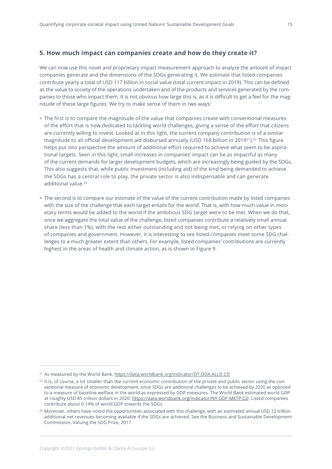# <span id="page-14-0"></span>**5. How much impact can companies create and how do they create it?**

We can now use this novel and proprietary impact measurement approach to analyze the amount of impact companies generate and the dimensions of the SDGs generating it. We estimate that listed companies contribute yearly a total of USD 117 billion in social value (total current impact in 2019). This can be defined as the value to society of the operations undertaken and of the products and services generated by the companies to those who impact them. It is not obvious how large this is, as it is difficult to get a feel for the magnitude of these large figures. We try to make sense of them in two ways:

- > The first is to compare the magnitude of the value that companies create with conventional measures of the effort that is now dedicated to tackling world challenges, giving a sense of the effort that citizens are currently willing to invest. Looked at in this light, the current company contribution is of a similar magnitude to all official development aid disbursed annually (USD 168 billion in 2019<sup>21</sup>).<sup>22</sup> This figure helps put into perspective the amount of additional effort required to achieve what seem to be aspirational targets. Seen in this light, small increases in companies' impact can be as impactful as many of the current demands for larger development budgets, which are increasingly being guided by the SDGs. This also suggests that, while public investment (including aid) of the kind being demanded to achieve the SDGs has a central role to play, the private sector is also indispensable and can generate additional value.23
- > The second is to compare our estimate of the value of the current contribution made by listed companies with the size of the challenge that each target entails for the world. That is, with how much value in monetary terms would be added to the world if the ambitious SDG target were to be met. When we do that, once we aggregate the total value of the challenge, listed companies contribute a relatively small annual share (less than 1%), with the rest either outstanding and not being met, or relying on other types of companies and government. However, it is interesting to see listed companies meet some SDG challenges to a much greater extent than others. For example, listed companies' contributions are currently highest in the areas of health and climate action, as is shown in Figure 9.

<sup>&</sup>lt;sup>21</sup> As measured by the World Bank,<https://data.worldbank.org/indicator/DT.ODA.ALLD.CD>

 $22$  It is, of course, a lot smaller than the current economic contribution of the private and public sector using the conventional measure of economic development, since SDGs are additional challenges to be achieved by 2030 as opposed to a measure of baseline welfare in the world as expressed by GDP measures. The World Bank estimated world GDP at roughly USD 85 trillion dollars in 2020: [https://data.worldbank.org/indicator/NY.GDP.MKTP.CD.](https://data.worldbank.org/indicator/NY.GDP.MKTP.CD) Listed companies contribute about 0.14% of world GDP towards the SDGs.

<sup>&</sup>lt;sup>23</sup> Moreover, others have noted the opportunities associated with this challenge, with an estimated annual USD 12 trillion additional net revenues becoming available if the SDGs are achieved. See the Business and Sustainable Development Commission, Valuing the SDG Prize, 2017.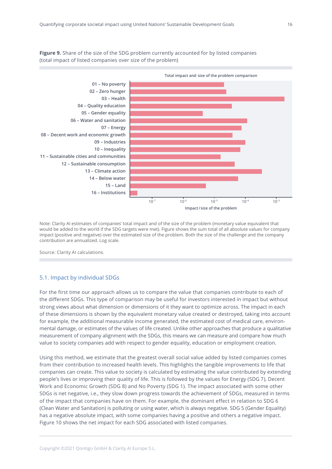<span id="page-15-0"></span>**Figure 9.** Share of the size of the SDG problem currently accounted for by listed companies (total impact of listed companies over size of the problem)



Note: Clarity AI estimates of companies' total impact and of the size of the problem (monetary value equivalent that would be added to the world if the SDG targets were met). Figure shows the sum total of all absolute values for company impact (positive and negative) over the estimated size of the problem. Both the size of the challenge and the company contribution are annualized. Log scale.

Source: Clarity AI calculations.

## 5.1. Impact by individual SDGs

For the first time our approach allows us to compare the value that companies contribute to each of the different SDGs. This type of comparison may be useful for investors interested in impact but without strong views about what dimension or dimensions of it they want to optimize across. The impact in each of these dimensions is shown by the equivalent monetary value created or destroyed, taking into account for example, the additional measurable income generated, the estimated cost of medical care, environmental damage, or estimates of the values of life created. Unlike other approaches that produce a qualitative measurement of company alignment with the SDGs, this means we can measure and compare how much value to society companies add with respect to gender equality, education or employment creation.

Using this method, we estimate that the greatest overall social value added by listed companies comes from their contribution to increased health levels. This highlights the tangible improvements to life that companies can create. This value to society is calculated by estimating the value contributed by extending people's lives or improving their quality of life. This is followed by the values for Energy (SDG 7), Decent Work and Economic Growth (SDG 8) and No Poverty (SDG 1). The impact associated with some other SDGs is net negative, i.e., they slow down progress towards the achievement of SDGs, measured in terms of the impact that companies have on them. For example, the dominant effect in relation to SDG 6 (Clean Water and Sanitation) is polluting or using water, which is always negative. SDG 5 (Gender Equality) has a negative absolute impact, with some companies having a positive and others a negative impact. Figure 10 shows the net impact for each SDG associated with listed companies.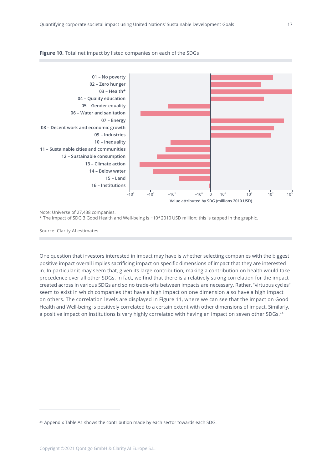

#### **Figure 10.** Total net impact by listed companies on each of the SDGs



Note: Universe of 27,438 companies.

\* The impact of SDG 3 Good Health and Well-being is ~104 2010 USD million; this is capped in the graphic.

Source: Clarity AI estimates.

One question that investors interested in impact may have is whether selecting companies with the biggest positive impact overall implies sacrificing impact on specific dimensions of impact that they are interested in. In particular it may seem that, given its large contribution, making a contribution on health would take precedence over all other SDGs. In fact, we find that there is a relatively strong correlation for the impact created across in various SDGs and so no trade-offs between impacts are necessary. Rather, "virtuous cycles" seem to exist in which companies that have a high impact on one dimension also have a high impact on others. The correlation levels are displayed in Figure 11, where we can see that the impact on Good Health and Well-being is positively correlated to a certain extent with other dimensions of impact. Similarly, a positive impact on institutions is very highly correlated with having an impact on seven other SDGs.<sup>24</sup>

<sup>&</sup>lt;sup>24</sup> Appendix Table A1 shows the contribution made by each sector towards each SDG.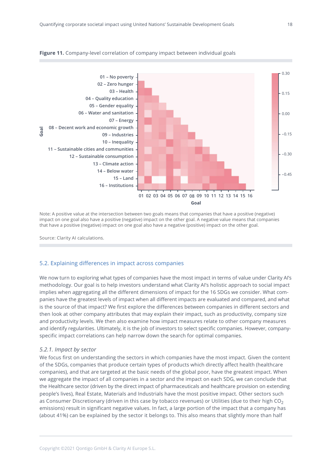

#### <span id="page-17-0"></span>**Figure 11.** Company-level correlation of company impact between individual goals

Note: A positive value at the intersection between two goals means that companies that have a positive (negative) impact on one goal also have a positive (negative) impact on the other goal. A negative value means that companies that have a positive (negative) impact on one goal also have a negative (positive) impact on the other goal.

Source: Clarity AI calculations.

#### 5.2. Explaining differences in impact across companies

We now turn to exploring what types of companies have the most impact in terms of value under Clarity AI's methodology. Our goal is to help investors understand what Clarity AI's holistic approach to social impact implies when aggregating all the different dimensions of impact for the 16 SDGs we consider. What companies have the greatest levels of impact when all different impacts are evaluated and compared, and what is the source of that impact? We first explore the differences between companies in different sectors and then look at other company attributes that may explain their impact, such as productivity, company size and productivity levels. We then also examine how impact measures relate to other company measures and identify regularities. Ultimately, it is the job of investors to select specific companies. However, companyspecific impact correlations can help narrow down the search for optimal companies.

#### *5.2.1. Impact by sector*

We focus first on understanding the sectors in which companies have the most impact. Given the content of the SDGs, companies that produce certain types of products which directly affect health (healthcare companies), and that are targeted at the basic needs of the global poor, have the greatest impact. When we aggregate the impact of all companies in a sector and the impact on each SDG, we can conclude that the Healthcare sector (driven by the direct impact of pharmaceuticals and healthcare provision on extending people's lives), Real Estate, Materials and Industrials have the most positive impact. Other sectors such as Consumer Discretionary (driven in this case by tobacco revenues) or Utilities (due to their high CO<sub>2</sub> emissions) result in significant negative values. In fact, a large portion of the impact that a company has (about 41%) can be explained by the sector it belongs to. This also means that slightly more than half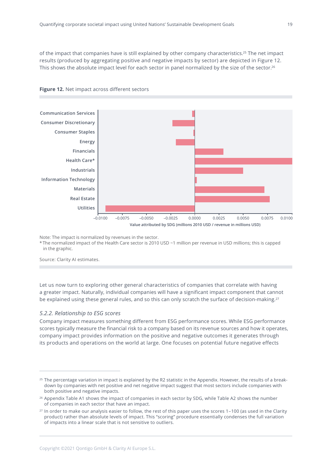<span id="page-18-0"></span>of the impact that companies have is still explained by other company characteristics.25 The net impact results (produced by aggregating positive and negative impacts by sector) are depicted in Figure 12. This shows the absolute impact level for each sector in panel normalized by the size of the sector.<sup>26</sup>





Note: The impact is normalized by revenues in the sector.

\* The normalized impact of the Health Care sector is 2010 USD ~1 million per revenue in USD millions; this is capped in the graphic.

Source: Clarity AI estimates.

Let us now turn to exploring other general characteristics of companies that correlate with having a greater impact. Naturally, individual companies will have a significant impact component that cannot be explained using these general rules, and so this can only scratch the surface of decision-making.<sup>27</sup>

#### *5.2.2. Relationship to ESG scores*

Company impact measures something different from ESG performance scores. While ESG performance scores typically measure the financial risk to a company based on its revenue sources and how it operates, company impact provides information on the positive and negative outcomes it generates through its products and operations on the world at large. One focuses on potential future negative effects

 $25$  The percentage variation in impact is explained by the R2 statistic in the Appendix. However, the results of a breakdown by companies with net positive and net negative impact suggest that most sectors include companies with both positive and negative impacts.

<sup>&</sup>lt;sup>26</sup> Appendix Table A1 shows the impact of companies in each sector by SDG, while Table A2 shows the number of companies in each sector that have an impact.

<sup>&</sup>lt;sup>27</sup> In order to make our analysis easier to follow, the rest of this paper uses the scores 1-100 (as used in the Clarity product) rather than absolute levels of impact. This "scoring" procedure essentially condenses the full variation of impacts into a linear scale that is not sensitive to outliers.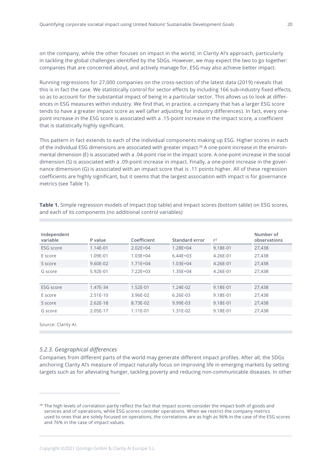<span id="page-19-0"></span>on the company, while the other focuses on impact in the world, in Clarity AI's approach, particularly in tackling the global challenges identified by the SDGs. However, we may expect the two to go together: companies that are concerned about, and actively manage for, ESG may also achieve better impact.

Running regressions for 27,000 companies on the cross-section of the latest data (2019) reveals that this is in fact the case. We statistically control for sector effects by including 166 sub-industry fixed effects, so as to account for the substantial impact of being in a particular sector. This allows us to look at differences in ESG measures within industry. We find that, in practice, a company that has a larger ESG score tends to have a greater impact score as well (after adjusting for industry differences). In fact, every onepoint increase in the ESG score is associated with a .15-point increase in the impact score, a coefficient that is statistically highly significant.

This pattern in fact extends to each of the individual components making up ESG. Higher scores in each of the individual ESG dimensions are associated with greater impact.28 A one-point increase in the environmental dimension (E) is associated with a .04-point rise in the impact score. A one-point increase in the social dimension (S) is associated with a .09-point increase in impact. Finally, a one-point increase in the governance dimension (G) is associated with an impact score that is .11 points higher. All of these regression coefficients are highly significant, but it seems that the largest association with impact is for governance metrics (see Table 1).

| Independent<br>variable | P value    | Coefficient  | Standard error | $r^2$    | Number of<br>observations |
|-------------------------|------------|--------------|----------------|----------|---------------------------|
| <b>ESG</b> score        | 1.14E-01   | $2.02E + 04$ | $1.28E + 04$   | 9.18E-01 | 27,438                    |
| E score                 | 1.09E-01   | $1.03E + 04$ | $6.44E + 03$   | 4.26E-01 | 27,438                    |
| S score                 | 9.60E-02   | $1.71E + 04$ | $1.03E + 04$   | 4.26E-01 | 27,438                    |
| G score                 | 5.92E-01   | $7.22E + 03$ | $1.35E + 04$   | 4.26E-01 | 27,438                    |
|                         |            |              |                |          |                           |
| <b>ESG</b> score        | 1.47E-34   | 1.52E-01     | $1.24E-02$     | 9.18E-01 | 27,438                    |
| E score                 | $2.51E-10$ | 3.96E-02     | $6.26E-03$     | 9.18E-01 | 27,438                    |
| S score                 | $2.62E-18$ | 8.73E-02     | 9.99E-03       | 9.18E-01 | 27,438                    |
| G score                 | 2.05E-17   | 1.11E-01     | 1.31E-02       | 9.18E-01 | 27,438                    |

**Table 1.** Simple regression models of Impact (top table) and Impact scores (bottom table) on ESG scores, and each of its components (no additional control variables)

Source: Clarity AI.

# *5.2.3. Geographical differences*

Companies from different parts of the world may generate different impact profiles. After all, the SDGs anchoring Clarity AI's measure of impact naturally focus on improving life in emerging markets by setting targets such as for alleviating hunger, tackling poverty and reducing non-communicable diseases. In other

<sup>&</sup>lt;sup>28</sup> The high levels of correlation partly reflect the fact that impact scores consider the impact both of goods and services and of operations, while ESG scores consider operations. When we restrict the company metrics used to ones that are solely focused on operations, the correlations are as high as 96% in the case of the ESG scores and 76% in the case of impact values.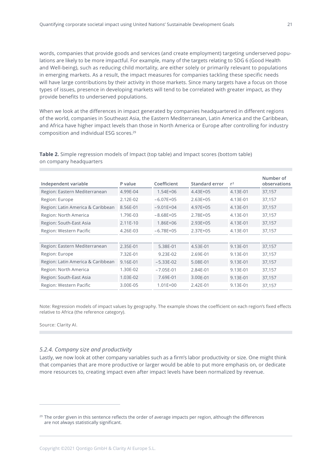<span id="page-20-0"></span>words, companies that provide goods and services (and create employment) targeting underserved populations are likely to be more impactful. For example, many of the targets relating to SDG 6 (Good Health and Well-being), such as reducing child mortality, are either solely or primarily relevant to populations in emerging markets. As a result, the impact measures for companies tackling these specific needs will have large contributions by their activity in those markets. Since many targets have a focus on those types of issues, presence in developing markets will tend to be correlated with greater impact, as they provide benefits to underserved populations.

When we look at the differences in impact generated by companies headquartered in different regions of the world, companies in Southeast Asia, the Eastern Mediterranean, Latin America and the Caribbean, and Africa have higher impact levels than those in North America or Europe after controlling for industry composition and individual ESG scores.29

| Independent variable              | P value      | Coefficient   | Standard error | $r^2$    | Number of<br>observations |
|-----------------------------------|--------------|---------------|----------------|----------|---------------------------|
| Region: Eastern Mediterranean     | 4.99E-04     | $1.54E + 06$  | $4.43E + 05$   | 4.13E-01 | 37,157                    |
| Region: Europe                    | $2.12E - 02$ | $-6.07E+05$   | $2.63E + 05$   | 4.13E-01 | 37,157                    |
| Region: Latin America & Caribbean | 8.56E-01     | $-9.01E + 04$ | 4.97E+05       | 4.13E-01 | 37,157                    |
| Region: North America             | 1.79E-03     | $-8.68E+05$   | $2.78E + 05$   | 4.13E-01 | 37,157                    |
| Region: South-East Asia           | $2.11E-10$   | $1.86E + 06$  | $2.93E + 05$   | 4.13E-01 | 37,157                    |
| Region: Western Pacific           | 4.26E-03     | $-6.78E + 05$ | $2.37E + 05$   | 4.13E-01 | 37,157                    |
|                                   |              |               |                |          |                           |
| Region: Eastern Mediterranean     | 2.35E-01     | 5.38E-01      | 4.53E-01       | 9.13E-01 | 37,157                    |
| Region: Europe                    | 7.32E-01     | 9.23E-02      | 2.69E-01       | 9.13E-01 | 37,157                    |
| Region: Latin America & Caribbean | 9.16E-01     | $-5.33E-02$   | 5.08E-01       | 9.13E-01 | 37,157                    |
| Region: North America             | 1.30E-02     | $-7.05E-01$   | 2.84E-01       | 9.13E-01 | 37,157                    |
| Region: South-East Asia           | 1.03E-02     | 7.69E-01      | 3.00E-01       | 9.13E-01 | 37,157                    |
| Region: Western Pacific           | 3.00E-05     | $1.01E + 00$  | $2.42E - 01$   | 9.13E-01 | 37,157                    |

**Table 2.** Simple regression models of Impact (top table) and Impact scores (bottom table) on company headquarters

Note: Regression models of impact values by geography. The example shows the coefficient on each region's fixed effects relative to Africa (the reference category).

Source: Clarity AI.

#### *5.2.4. Company size and productivity*

Lastly, we now look at other company variables such as a firm's labor productivity or size. One might think that companies that are more productive or larger would be able to put more emphasis on, or dedicate more resources to, creating impact even after impact levels have been normalized by revenue.

<sup>&</sup>lt;sup>29</sup> The order given in this sentence reflects the order of average impacts per region, although the differences are not always statistically significant.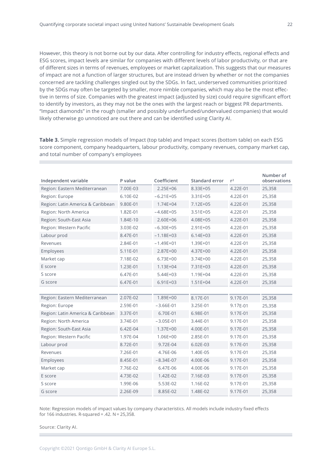However, this theory is not borne out by our data. After controlling for industry effects, regional effects and ESG scores, impact levels are similar for companies with different levels of labor productivity, or that are of different sizes in terms of revenues, employees or market capitalization. This suggests that our measures of impact are not a function of larger structures, but are instead driven by whether or not the companies concerned are tackling challenges singled out by the SDGs. In fact, underserved communities prioritized by the SDGs may often be targeted by smaller, more nimble companies, which may also be the most effective in terms of size. Companies with the greatest impact (adjusted by size) could require significant effort to identify by investors, as they may not be the ones with the largest reach or biggest PR departments. "Impact diamonds" in the rough (smaller and possibly underfunded/undervalued companies) that would likely otherwise go unnoticed are out there and can be identified using Clarity AI.

**Table 3.** Simple regression models of Impact (top table) and Impact scores (bottom table) on each ESG score component, company headquarters, labour productivity, company revenues, company market cap, and total number of company's employees

| Independent variable              | P value  | Coefficient   | Standard error | $r^2$    | Number of<br>observations |
|-----------------------------------|----------|---------------|----------------|----------|---------------------------|
| Region: Eastern Mediterranean     | 7.00E-03 | $2.25E + 06$  | 8.33E+05       | 4.22E-01 | 25,358                    |
| Region: Europe                    | 6.10E-02 | $-6.21E+05$   | 3.31E+05       | 4.22E-01 | 25,358                    |
| Region: Latin America & Caribbean | 9.80E-01 | $1.74E + 04$  | $7.12E + 05$   | 4.22E-01 | 25,358                    |
| Region: North America             | 1.82E-01 | $-4.68E+05$   | $3.51E + 05$   | 4.22E-01 | 25,358                    |
| Region: South-East Asia           | 1.84E-10 | $2.60E + 06$  | 4.08E+05       | 4.22E-01 | 25,358                    |
| Region: Western Pacific           | 3.03E-02 | $-6.30E+05$   | $2.91E + 05$   | 4.22E-01 | 25,358                    |
| Labour prod                       | 8.47E-01 | $-1.18E + 03$ | $6.14E + 03$   | 4.22E-01 | 25,358                    |
| Revenues                          | 2.84E-01 | $-1.49E + 01$ | $1.39E + 01$   | 4.22E-01 | 25,358                    |
| Employees                         | 5.11E-01 | 2.87E+00      | $4.37E + 00$   | 4.22E-01 | 25,358                    |
| Market cap                        | 7.18E-02 | $6.73E + 00$  | $3.74E + 00$   | 4.22E-01 | 25,358                    |
| E score                           | 1.23E-01 | $1.13E + 04$  | $7.31E + 03$   | 4.22E-01 | 25,358                    |
| S score                           | 6.47E-01 | $5.44E + 03$  | 1.19E+04       | 4.22E-01 | 25,358                    |
| G score                           | 6.47E-01 | $6.91E + 03$  | $1.51E + 04$   | 4.22E-01 | 25,358                    |
|                                   |          |               |                |          |                           |
| Region: Eastern Mediterranean     | 2.07E-02 | 1.89E+00      | 8.17E-01       | 9.17E-01 | 25,358                    |
| Region: Europe                    | 2.59E-01 | $-3.66E-01$   | 3.25E-01       | 9.17E-01 | 25,358                    |
| Region: Latin America & Caribbean | 3.37E-01 | 6.70E-01      | 6.98E-01       | 9.17E-01 | 25,358                    |
| Region: North America             | 3.74E-01 | $-3.05E-01$   | 3.44E-01       | 9.17E-01 | 25,358                    |
| Region: South-East Asia           | 6.42E-04 | $1.37E + 00$  | 4.00E-01       | 9.17E-01 | 25,358                    |
| Region: Western Pacific           | 1.97E-04 | 1.06E+00      | 2.85E-01       | 9.17E-01 | 25,358                    |
| Labour prod                       | 8.72E-01 | 9.72E-04      | 6.02E-03       | 9.17E-01 | 25,358                    |
| Revenues                          | 7.26E-01 | 4.76E-06      | 1.40E-05       | 9.17E-01 | 25,358                    |
| Employees                         | 8.45E-01 | $-8.34E-07$   | 4.00E-06       | 9.17E-01 | 25,358                    |
| Market cap                        | 7.76E-02 | 6.47E-06      | 4.00E-06       | 9.17E-01 | 25,358                    |
| E score                           | 4.73E-02 | 1.42E-02      | 7.16E-03       | 9.17E-01 | 25,358                    |
| S score                           | 1.99E-06 | 5.53E-02      | 1.16E-02       | 9.17E-01 | 25,358                    |
| G score                           | 2.26E-09 | 8.85E-02      | 1.48E-02       | 9.17E-01 | 25,358                    |

Note: Regression models of impact values by company characteristics. All models include industry fixed effects for 166 industries. R-squared =  $.42$ . N = 25,358.

Source: Clarity AI.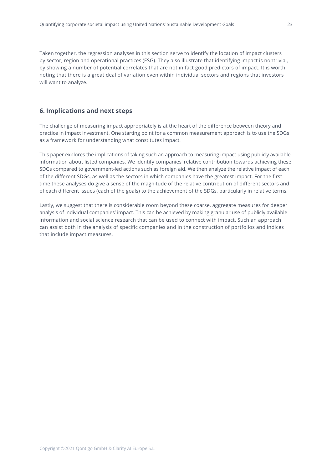<span id="page-22-0"></span>Taken together, the regression analyses in this section serve to identify the location of impact clusters by sector, region and operational practices (ESG). They also illustrate that identifying impact is nontrivial, by showing a number of potential correlates that are not in fact good predictors of impact. It is worth noting that there is a great deal of variation even within individual sectors and regions that investors will want to analyze.

# **6. Implications and next steps**

The challenge of measuring impact appropriately is at the heart of the difference between theory and practice in impact investment. One starting point for a common measurement approach is to use the SDGs as a framework for understanding what constitutes impact.

This paper explores the implications of taking such an approach to measuring impact using publicly available information about listed companies. We identify companies' relative contribution towards achieving these SDGs compared to government-led actions such as foreign aid. We then analyze the relative impact of each of the different SDGs, as well as the sectors in which companies have the greatest impact. For the first time these analyses do give a sense of the magnitude of the relative contribution of different sectors and of each different issues (each of the goals) to the achievement of the SDGs, particularly in relative terms.

Lastly, we suggest that there is considerable room beyond these coarse, aggregate measures for deeper analysis of individual companies' impact. This can be achieved by making granular use of publicly available information and social science research that can be used to connect with impact. Such an approach can assist both in the analysis of specific companies and in the construction of portfolios and indices that include impact measures.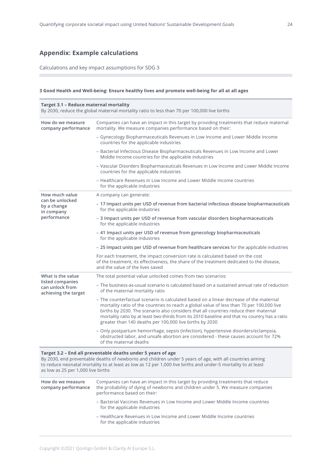# <span id="page-23-0"></span>**Appendix: Example calculations**

Calculations and key impact assumptions for SDG 3

#### **3 Good Health and Well-being: Ensure healthy lives and promote well-being for all at all ages**

| <b>Target 3.1 - Reduce maternal mortality</b><br>By 2030, reduce the global maternal mortality ratio to less than 70 per 100,000 live births |                                                                                                                                                                                                                                                                                                                                                                                                                                         |  |
|----------------------------------------------------------------------------------------------------------------------------------------------|-----------------------------------------------------------------------------------------------------------------------------------------------------------------------------------------------------------------------------------------------------------------------------------------------------------------------------------------------------------------------------------------------------------------------------------------|--|
| How do we measure<br>company performance                                                                                                     | Companies can have an impact in this target by providing treatments that reduce maternal<br>mortality. We measure companies performance based on their:                                                                                                                                                                                                                                                                                 |  |
|                                                                                                                                              | - Gynecology Biopharmaceuticals Revenues in Low Income and Lower Middle Income<br>countries for the applicable industries                                                                                                                                                                                                                                                                                                               |  |
|                                                                                                                                              | - Bacterial Infectious Disease Biopharmaceuticals Revenues in Low Income and Lower<br>Middle Income countries for the applicable industries                                                                                                                                                                                                                                                                                             |  |
|                                                                                                                                              | - Vascular Disorders Biopharmaceuticals Revenues in Low Income and Lower Middle Income<br>countries for the applicable industries                                                                                                                                                                                                                                                                                                       |  |
|                                                                                                                                              | - Healthcare Revenues in Low Income and Lower Middle Income countries<br>for the applicable industries                                                                                                                                                                                                                                                                                                                                  |  |
| How much value                                                                                                                               | A company can generate:                                                                                                                                                                                                                                                                                                                                                                                                                 |  |
| can be unlocked<br>by a change<br>in company                                                                                                 | - 17 Impact units per USD of revenue from bacterial infectious disease biopharmaceuticals<br>for the applicable industries                                                                                                                                                                                                                                                                                                              |  |
| performance                                                                                                                                  | - 3 Impact units per USD of revenue from vascular disorders biopharmaceuticals<br>for the applicable industries                                                                                                                                                                                                                                                                                                                         |  |
|                                                                                                                                              | - 41 Impact units per USD of revenue from gynecology biopharmaceuticals<br>for the applicable industries                                                                                                                                                                                                                                                                                                                                |  |
|                                                                                                                                              | - 25 Impact units per USD of revenue from healthcare services for the applicable industries                                                                                                                                                                                                                                                                                                                                             |  |
|                                                                                                                                              | For each treatment, the impact conversion rate is calculated based on the cost<br>of the treatment, its effectiveness, the share of the treatment dedicated to the disease,<br>and the value of the lives saved                                                                                                                                                                                                                         |  |
| What is the value                                                                                                                            | The total potential value unlocked comes from two scenarios:                                                                                                                                                                                                                                                                                                                                                                            |  |
| listed companies<br>can unlock from<br>achieving the target                                                                                  | - The business-as-usual scenario is calculated based on a sustained annual rate of reduction<br>of the maternal mortality ratio                                                                                                                                                                                                                                                                                                         |  |
|                                                                                                                                              | - The counterfactual scenario is calculated based on a linear decrease of the maternal<br>mortality ratio of the countries to reach a global value of less than 70 per 100,000 live<br>births by 2030. The scenario also considers that all countries reduce their maternal<br>mortality ratio by at least two-thirds from its 2010 baseline and that no country has a ratio<br>greater than 140 deaths per 100,000 live births by 2030 |  |
|                                                                                                                                              | - Only postpartum hemorrhage, sepsis (infection), hypertensive disorders/eclampsia,<br>obstructed labor, and unsafe abortion are considered - these causes account for 72%<br>of the maternal deaths                                                                                                                                                                                                                                    |  |
| as low as 25 per 1,000 live births                                                                                                           | Target 3.2 - End all preventable deaths under 5 years of age<br>By 2030, end preventable deaths of newborns and children under 5 years of age, with all countries aiming<br>to reduce neonatal mortality to at least as low as 12 per 1,000 live births and under-5 mortality to at least                                                                                                                                               |  |
| How do we measure<br>company performance                                                                                                     | Companies can have an impact in this target by providing treatments that reduce<br>the probability of dying of newborns and children under 5. We measure companies<br>performance based on their:                                                                                                                                                                                                                                       |  |
|                                                                                                                                              | - Bacterial Vaccines Revenues in Low Income and Lower Middle Income countries<br>for the applicable industries                                                                                                                                                                                                                                                                                                                          |  |

– Healthcare Revenues in Low Income and Lower Middle Income countries for the applicable industries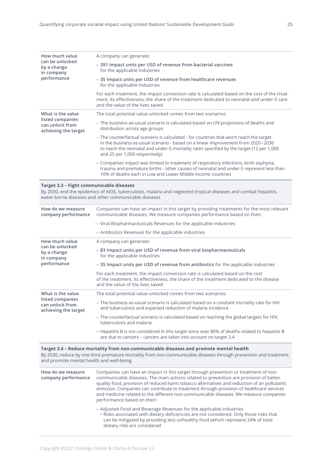| How much value                                              | A company can generate:                                                                                                                                                                                                                                                                                  |
|-------------------------------------------------------------|----------------------------------------------------------------------------------------------------------------------------------------------------------------------------------------------------------------------------------------------------------------------------------------------------------|
| can be unlocked<br>by a change<br>in company<br>performance | - 391 Impact units per USD of revenue from bacterial vaccines<br>for the applicable industries                                                                                                                                                                                                           |
|                                                             | - 35 Impact units per USD of revenue from healthcare revenues<br>for the applicable industries                                                                                                                                                                                                           |
|                                                             | For each treatment, the impact conversion rate is calculated based on the cost of the treat-<br>ment, its effectiveness, the share of the treatment dedicated to neonatal and under-5 care<br>and the value of the lives saved                                                                           |
| What is the value                                           | The total potential value unlocked comes from two scenarios:                                                                                                                                                                                                                                             |
| listed companies<br>can unlock from<br>achieving the target | - The business-as-usual scenario is calculated based on UN projections of deaths and<br>distribution across age groups                                                                                                                                                                                   |
|                                                             | - The counterfactual scenario is calculated - for countries that won't reach the target<br>in the business-as-usual scenario - based on a linear improvement from 2020-2030<br>to reach the neonatal and under-5 mortality rates specified by the target (12 per 1,000<br>and 25 per 1,000 respectively) |
|                                                             | - Companies impact was limited to treatment of respiratory infections, birth asphyxia,<br>trauma and premature births - other causes of neonatal and under-5 represent less than<br>10% of deaths each in Low and Lower Middle Income countries                                                          |
|                                                             |                                                                                                                                                                                                                                                                                                          |

#### **Target 3.3 – Fight communicable diseases**

By 2030, end the epidemics of AIDS, tuberculosis, malaria and neglected tropical diseases and combat hepatitis, water-borne diseases and other communicable diseases

| How do we measure<br>company performance                    | Companies can have an impact in this target by providing treatments for the most relevant<br>communicable diseases. We measure companies performance based on their:                                           |
|-------------------------------------------------------------|----------------------------------------------------------------------------------------------------------------------------------------------------------------------------------------------------------------|
|                                                             | - Viral Biopharmaceuticals Revenues for the applicable industries                                                                                                                                              |
|                                                             | - Antibiotics Revenues for the applicable industries                                                                                                                                                           |
| How much value                                              | A company can generate:                                                                                                                                                                                        |
| can be unlocked<br>by a change<br>in company                | - 83 Impact units per USD of revenue from viral biopharmaceuticals<br>for the applicable industries                                                                                                            |
| performance                                                 | - 35 Impact units per USD of revenue from antibiotics for the applicable industries                                                                                                                            |
|                                                             | For each treatment, the impact conversion rate is calculated based on the cost<br>of the treatment, its effectiveness, the share of the treatment dedicated to the disease<br>and the value of the lives saved |
| What is the value                                           | The total potential value unlocked comes from two scenarios:                                                                                                                                                   |
| listed companies<br>can unlock from<br>achieving the target | - The business-as-usual scenario is calculated based on a constant mortality rate for HIV<br>and tuberculosis and expected reduction of malaria incidence                                                      |
|                                                             | - The counterfactual scenario is calculated based on reaching the global targets for HIV,<br>tuberculosis and malaria                                                                                          |
|                                                             | - Hepatitis B is not considered in this target since over 80% of deaths related to hepatitis B<br>are due to cancers – cancers are taken into account on target 3.4                                            |
|                                                             |                                                                                                                                                                                                                |

# **Target 3.4 – Reduce mortality from non-communicable diseases and promote mental health** By 2030, reduce by one third premature mortality from non-communicable diseases through prevention and treatment

and promote mental health and well-being

| How do we measure<br>company performance | Companies can have an impact in this target through prevention or treatment of non-<br>communicable diseases. The main actions related to prevention are provision of better<br>quality food, provision of reduced harm tobacco alternatives and reduction of air pollutants<br>emission. Companies can contribute to treatment through provision of healthcare services<br>and medicine related to the different non-communicable diseases. We measure companies<br>performance based on their: |
|------------------------------------------|--------------------------------------------------------------------------------------------------------------------------------------------------------------------------------------------------------------------------------------------------------------------------------------------------------------------------------------------------------------------------------------------------------------------------------------------------------------------------------------------------|
|                                          | - Adjusted Food and Beverage Revenues for the applicable industries<br>. Risks associated with dietary deficiencies are not considered. Only those risks that<br>can be mitigated by providing less unhealthy food (which represent 24% of total<br>dietary risk) are considered                                                                                                                                                                                                                 |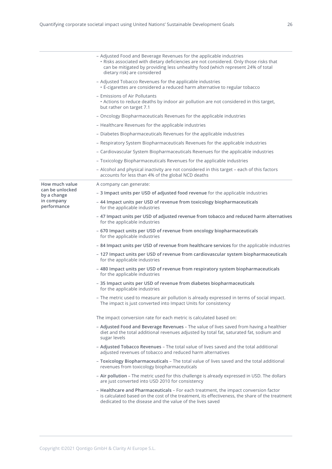|                                | - Adjusted Food and Beverage Revenues for the applicable industries<br>· Risks associated with dietary deficiencies are not considered. Only those risks that<br>can be mitigated by providing less unhealthy food (which represent 24% of total<br>dietary risk) are considered |
|--------------------------------|----------------------------------------------------------------------------------------------------------------------------------------------------------------------------------------------------------------------------------------------------------------------------------|
|                                | - Adjusted Tobacco Revenues for the applicable industries<br>• E-cigarettes are considered a reduced harm alternative to regular tobacco                                                                                                                                         |
|                                | - Emissions of Air Pollutants<br>• Actions to reduce deaths by indoor air pollution are not considered in this target,<br>but rather on target 7.1                                                                                                                               |
|                                | - Oncology Biopharmaceuticals Revenues for the applicable industries                                                                                                                                                                                                             |
|                                | - Healthcare Revenues for the applicable industries                                                                                                                                                                                                                              |
|                                | - Diabetes Biopharmaceuticals Revenues for the applicable industries                                                                                                                                                                                                             |
|                                | - Respiratory System Biopharmaceuticals Revenues for the applicable industries                                                                                                                                                                                                   |
|                                | - Cardiovascular System Biopharmaceuticals Revenues for the applicable industries                                                                                                                                                                                                |
|                                | - Toxicology Biopharmaceuticals Revenues for the applicable industries                                                                                                                                                                                                           |
|                                | - Alcohol and physical inactivity are not considered in this target - each of this factors<br>accounts for less than 4% of the global NCD deaths                                                                                                                                 |
| How much value                 | A company can generate:                                                                                                                                                                                                                                                          |
| can be unlocked<br>by a change | - 3 Impact units per USD of adjusted food revenue for the applicable industries                                                                                                                                                                                                  |
| in company<br>performance      | - 44 Impact units per USD of revenue from toxicology biopharmaceuticals<br>for the applicable industries                                                                                                                                                                         |
|                                | - 47 Impact units per USD of adjusted revenue from tobacco and reduced harm alternatives<br>for the applicable industries                                                                                                                                                        |
|                                | - 670 Impact units per USD of revenue from oncology biopharmaceuticals<br>for the applicable industries                                                                                                                                                                          |
|                                | - 84 Impact units per USD of revenue from healthcare services for the applicable industries                                                                                                                                                                                      |
|                                | - 127 Impact units per USD of revenue from cardiovascular system biopharmaceuticals<br>for the applicable industries                                                                                                                                                             |
|                                | - 480 Impact units per USD of revenue from respiratory system biopharmaceuticals<br>for the applicable industries                                                                                                                                                                |
|                                | - 35 Impact units per USD of revenue from diabetes biopharmaceuticals<br>for the applicable industries                                                                                                                                                                           |
|                                | - The metric used to measure air pollution is already expressed in terms of social impact.<br>The impact is just converted into Impact Units for consistency                                                                                                                     |
|                                | The impact conversion rate for each metric is calculated based on:                                                                                                                                                                                                               |
|                                | - Adjusted Food and Beverage Revenues - The value of lives saved from having a healthier<br>diet and the total additional revenues adjusted by total fat, saturated fat, sodium and<br>sugar levels                                                                              |
|                                | - Adjusted Tobacco Revenues - The total value of lives saved and the total additional<br>adjusted revenues of tobacco and reduced harm alternatives                                                                                                                              |
|                                | - Toxicology Biopharmaceuticals - The total value of lives saved and the total additional<br>revenues from toxicology biopharmaceuticals                                                                                                                                         |
|                                | - Air pollution - The metric used for this challenge is already expressed in USD. The dollars<br>are just converted into USD 2010 for consistency                                                                                                                                |
|                                | - Healthcare and Pharmaceuticals - For each treatment, the impact conversion factor<br>is calculated based on the cost of the treatment, its effectiveness, the share of the treatment<br>dedicated to the disease and the value of the lives saved                              |
|                                |                                                                                                                                                                                                                                                                                  |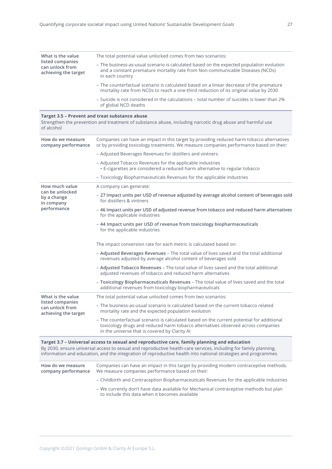| What is the value<br>listed companies<br>can unlock from<br>achieving the target | The total potential value unlocked comes from two scenarios:                                                                                                                                  |
|----------------------------------------------------------------------------------|-----------------------------------------------------------------------------------------------------------------------------------------------------------------------------------------------|
|                                                                                  | - The business-as-usual scenario is calculated based on the expected population evolution<br>and a constant premature mortality rate from Non-communicable Diseases (NCDs)<br>in each country |
|                                                                                  | - The counterfactual scenario is calculated based on a linear decrease of the premature<br>mortality rate from NCDs to reach a one-third reduction of its original value by 2030              |
|                                                                                  | - Suicide is not considered in the calculations – total number of suicides is lower than 2%<br>of global NCD deaths                                                                           |
| of alcohol                                                                       | Target 3.5 - Prevent and treat substance abuse<br>Strengthen the prevention and treatment of substance abuse, including narcotic drug abuse and harmful use                                   |

| How do we measure<br>company performance                    | Companies can have an impact in this target by providing reduced harm tobacco alternatives<br>or by providing toxicology treatments. We measure companies performance based on their:                                          |  |  |  |  |  |  |
|-------------------------------------------------------------|--------------------------------------------------------------------------------------------------------------------------------------------------------------------------------------------------------------------------------|--|--|--|--|--|--|
|                                                             | - Adjusted Beverages Revenues for distillers and vintners                                                                                                                                                                      |  |  |  |  |  |  |
|                                                             | - Adjusted Tobacco Revenues for the applicable industries<br>• E-cigarettes are considered a reduced harm alternative to regular tobacco                                                                                       |  |  |  |  |  |  |
|                                                             | - Toxicology Biopharmaceuticals Revenues for the applicable industries                                                                                                                                                         |  |  |  |  |  |  |
| How much value                                              | A company can generate:                                                                                                                                                                                                        |  |  |  |  |  |  |
| can be unlocked<br>by a change<br>in company                | - 27 Impact units per USD of revenue adjusted by average alcohol content of beverages sold<br>for distillers & vintners                                                                                                        |  |  |  |  |  |  |
| performance                                                 | - 46 Impact units per USD of adjusted revenue from tobacco and reduced harm alternatives<br>for the applicable industries                                                                                                      |  |  |  |  |  |  |
|                                                             | - 44 Impact units per USD of revenue from toxicology biopharmaceuticals<br>for the applicable industries                                                                                                                       |  |  |  |  |  |  |
|                                                             | The impact conversion rate for each metric is calculated based on:                                                                                                                                                             |  |  |  |  |  |  |
|                                                             | - Adjusted Beverages Revenues - The total value of lives saved and the total additional<br>revenues adjusted by average alcohol content of beverages sold                                                                      |  |  |  |  |  |  |
|                                                             | - Adjusted Tobacco Revenues - The total value of lives saved and the total additional<br>adjusted revenues of tobacco and reduced harm alternatives                                                                            |  |  |  |  |  |  |
|                                                             | - Toxicology Biopharmaceuticals Revenues - The total value of lives saved and the total<br>additional revenues from toxicology biopharmaceuticals                                                                              |  |  |  |  |  |  |
| What is the value                                           | The total potential value unlocked comes from two scenarios:                                                                                                                                                                   |  |  |  |  |  |  |
| listed companies<br>can unlock from<br>achieving the target | - The business-as-usual scenario is calculated based on the current tobacco related<br>mortality rate and the expected population evolution                                                                                    |  |  |  |  |  |  |
|                                                             | - The counterfactual scenario is calculated based on the current potential for additional<br>toxicology drugs and reduced harm tobacco alternatives observed across companies<br>in the universe that is covered by Clarity AI |  |  |  |  |  |  |

information and education, and the integration of reproductive health into national strategies and programmes

**How do we measure company performance** We measure companies performance based on their: Companies can have an impact in this target by providing modern contraceptive methods. – Childbirth and Contraception Biopharmaceuticals Revenues for the applicable industries – We currently don't have data available for Mechanical contraceptive methods but plan to include this data when it becomes available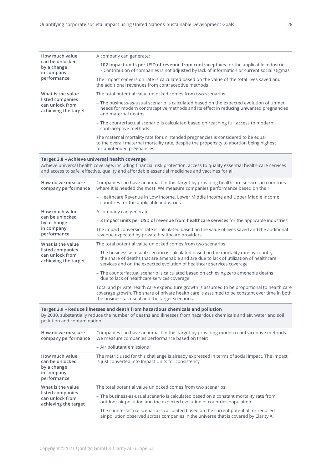| How much value                                              |                                                                                                                                                                                                                                                                              |  |  |  |  |  |  |
|-------------------------------------------------------------|------------------------------------------------------------------------------------------------------------------------------------------------------------------------------------------------------------------------------------------------------------------------------|--|--|--|--|--|--|
| can be unlocked<br>by a change<br>in company<br>performance | A company can generate:                                                                                                                                                                                                                                                      |  |  |  |  |  |  |
|                                                             | - 102 Impact units per USD of revenue from contraceptives for the applicable industries<br>• Contribution of companies is not adjusted by lack of information or current social stigmas                                                                                      |  |  |  |  |  |  |
|                                                             | The impact conversion rate is calculated based on the value of the total lives saved and<br>the additional revenues from contraceptive methods                                                                                                                               |  |  |  |  |  |  |
| What is the value                                           | The total potential value unlocked comes from two scenarios:                                                                                                                                                                                                                 |  |  |  |  |  |  |
| listed companies<br>can unlock from<br>achieving the target | - The business-as-usual scenario is calculated based on the expected evolution of unmet<br>needs for modern contraceptive methods and its effect in reducing unwanted pregnancies<br>and maternal deaths                                                                     |  |  |  |  |  |  |
|                                                             | - The counterfactual scenario is calculated based on reaching full access to modern<br>contraceptive methods                                                                                                                                                                 |  |  |  |  |  |  |
|                                                             | The maternal mortality rate for unintended pregnancies is considered to be equal<br>to the overall maternal mortality rate, despite the propensity to abortion being highest<br>for unintended pregnancies.                                                                  |  |  |  |  |  |  |
|                                                             | Target 3.8 - Achieve universal health coverage<br>Achieve universal health coverage, including financial risk protection, access to quality essential health-care services<br>and access to safe, effective, quality and affordable essential medicines and vaccines for all |  |  |  |  |  |  |
| How do we measure<br>company performance                    | Companies can have an impact in this target by providing healthcare services in countries<br>where it is needed the most. We measure companies performance based on their:                                                                                                   |  |  |  |  |  |  |
|                                                             | - Healthcare Revenue in Low Income, Lower Middle Income and Upper Middle Income                                                                                                                                                                                              |  |  |  |  |  |  |
|                                                             | countries for the applicable industries                                                                                                                                                                                                                                      |  |  |  |  |  |  |
| How much value                                              | A company can generate:                                                                                                                                                                                                                                                      |  |  |  |  |  |  |
| can be unlocked<br>by a change                              | - 3 Impact units per USD of revenue from healthcare services for the applicable industries                                                                                                                                                                                   |  |  |  |  |  |  |
| in company<br>performance                                   | The impact conversion rate is calculated based on the value of lives saved and the additional<br>revenue expected by private healthcare providers                                                                                                                            |  |  |  |  |  |  |
| What is the value                                           | The total potential value unlocked comes from two scenarios:                                                                                                                                                                                                                 |  |  |  |  |  |  |
| listed companies<br>can unlock from<br>achieving the target | - The business-as-usual scenario is calculated based on the mortality rate by country,<br>the share of deaths that are amenable and are due to lack of utilization of healthcare<br>services and on the expected evolution of healthcare services coverage                   |  |  |  |  |  |  |
|                                                             | - The counterfactual scenario is calculated based on achieving zero amenable deaths<br>due to lack of healthcare services coverage                                                                                                                                           |  |  |  |  |  |  |

By 2030, substantially reduce the number of deaths and illnesses from hazardous chemicals and air, water and soil pollution and contamination

| How do we measure<br>company performance                                         | Companies can have an impact in this target by providing modern contraceptive methods.<br>We measure companies performance based on their:<br>- Air pollutant emissions         |
|----------------------------------------------------------------------------------|---------------------------------------------------------------------------------------------------------------------------------------------------------------------------------|
| How much value<br>can be unlocked<br>by a change<br>in company<br>performance    | The metric used for this challenge is already expressed in terms of social impact. The impact<br>is just converted into Impact Units for consistency                            |
| What is the value<br>listed companies<br>can unlock from<br>achieving the target | The total potential value unlocked comes from two scenarios:                                                                                                                    |
|                                                                                  | - The business-as-usual scenario is calculated based on a constant mortality rate from<br>outdoor air pollution and the expected evolution of countries population              |
|                                                                                  | - The counterfactual scenario is calculated based on the current potential for reduced<br>air pollution observed across companies in the universe that is covered by Clarity AI |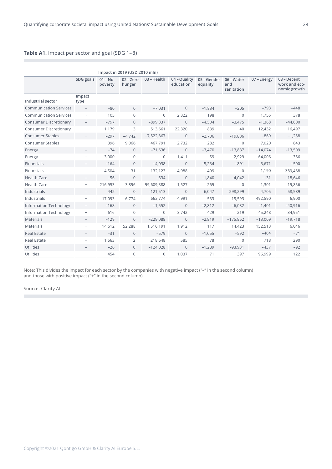# **Table A1.** Impact per sector and goal (SDG 1–8)

|                               | Impact in 2019 (USD 2010 mln)    |                      |                   |              |                           |                         |                                 |             |                                              |  |
|-------------------------------|----------------------------------|----------------------|-------------------|--------------|---------------------------|-------------------------|---------------------------------|-------------|----------------------------------------------|--|
|                               | SDG goals                        | $01 - No$<br>poverty | 02-Zero<br>hunger | 03 - Health  | 04 - Quality<br>education | 05 – Gender<br>equality | 06 - Water<br>and<br>sanitation | 07 - Energy | 08 - Decent<br>work and eco-<br>nomic growth |  |
| <b>Industrial sector</b>      | Impact<br>type                   |                      |                   |              |                           |                         |                                 |             |                                              |  |
| <b>Communication Services</b> | $\overline{\phantom{a}}$         | $-80$                | $\Omega$          | $-7.031$     | $\Omega$                  | $-1.834$                | $-205$                          | $-793$      | $-448$                                       |  |
| <b>Communication Services</b> | $\! + \!\!\!\!$                  | 105                  | $\overline{0}$    | 0            | 2,322                     | 198                     | $\mathbf{0}$                    | 1.755       | 378                                          |  |
| <b>Consumer Discretionary</b> | $\overline{\phantom{0}}$         | $-797$               | $\Omega$          | $-899,337$   | $\Omega$                  | $-4.504$                | $-3.475$                        | $-1,368$    | $-44.600$                                    |  |
| Consumer Discretionary        | $\begin{array}{c} + \end{array}$ | 1,179                | 3                 | 513,661      | 22,320                    | 839                     | 40                              | 12,432      | 16,497                                       |  |
| <b>Consumer Staples</b>       | $\overline{\phantom{0}}$         | $-297$               | $-4.742$          | $-7,522,867$ | $\mathbf{0}$              | $-2.706$                | $-19.836$                       | $-869$      | $-1,258$                                     |  |
| <b>Consumer Staples</b>       | $\begin{array}{c} + \end{array}$ | 396                  | 9,066             | 467,791      | 2,732                     | 282                     | $\overline{0}$                  | 7,020       | 843                                          |  |
| Energy                        |                                  | $-74$                | $\overline{0}$    | $-71,636$    | $\mathbf{0}$              | $-3,470$                | $-13,837$                       | $-14,074$   | $-13,509$                                    |  |
| Energy                        | $+$                              | 3,000                | $\Omega$          | $\Omega$     | 1,411                     | 59                      | 2,929                           | 64,006      | 366                                          |  |
| Financials                    | $\qquad \qquad -$                | $-164$               | $\overline{0}$    | $-4,038$     | $\mathbf{0}$              | $-5,234$                | $-891$                          | $-3,671$    | $-500$                                       |  |
| Financials                    | $+$                              | 4,504                | 31                | 132,123      | 4,988                     | 499                     | $\Omega$                        | 1,190       | 389,468                                      |  |
| <b>Health Care</b>            | $\overline{\phantom{0}}$         | $-56$                | $\Omega$          | $-634$       | $\Omega$                  | $-1.840$                | $-4,042$                        | $-131$      | $-18,646$                                    |  |
| <b>Health Care</b>            | $\begin{array}{c} + \end{array}$ | 216,953              | 3,896             | 99,609,388   | 1,527                     | 269                     | $\mathbf{0}$                    | 1,301       | 19,856                                       |  |
| Industrials                   |                                  | $-442$               | $\overline{0}$    | $-121,513$   | $\Omega$                  | $-6,047$                | $-298,299$                      | $-4,705$    | $-58,589$                                    |  |
| Industrials                   | $\begin{array}{c} + \end{array}$ | 17,093               | 6,774             | 663,774      | 4,991                     | 533                     | 15,593                          | 492,590     | 6,900                                        |  |
| <b>Information Technology</b> | $\overline{\phantom{a}}$         | $-168$               | $\Omega$          | $-1,552$     | $\mathbf{0}$              | $-2,812$                | $-6,082$                        | $-1,401$    | $-40,916$                                    |  |
| <b>Information Technology</b> |                                  | 616                  | $\Omega$          | $\Omega$     | 3,742                     | 429                     | 219                             | 45,248      | 34,951                                       |  |
| Materials                     | $\overline{\phantom{0}}$         | $-129$               | $\overline{0}$    | $-229,088$   | $\mathbf{0}$              | $-2,819$                | $-175,862$                      | $-13,009$   | $-19,718$                                    |  |
| Materials                     | $\! + \!\!\!\!$                  | 14,612               | 52,288            | 1,516,191    | 1,912                     | 117                     | 14,423                          | 152,513     | 6,046                                        |  |
| <b>Real Estate</b>            | $\qquad \qquad -$                | $-31$                | $\mathbf{0}$      | $-579$       | $\mathbf{0}$              | $-1,055$                | $-592$                          | $-464$      | $-71$                                        |  |
| <b>Real Estate</b>            | $\! + \!\!\!\!$                  | 1,663                | $\overline{2}$    | 218,648      | 585                       | 78                      | $\mathbf{0}$                    | 718         | 290                                          |  |
| <b>Utilities</b>              |                                  | $-26$                | $\overline{0}$    | $-124,028$   | $\mathbf{0}$              | $-1,289$                | $-93,931$                       | $-437$      | $-92$                                        |  |
| Utilities                     | $\begin{array}{c} + \end{array}$ | 454                  | 0                 | $\mathbf{0}$ | 1,037                     | 71                      | 397                             | 96,999      | 122                                          |  |

Note: This divides the impact for each sector by the companies with negative impact ("–" in the second column) and those with positive impact ("+" in the second column).

Source: Clarity AI.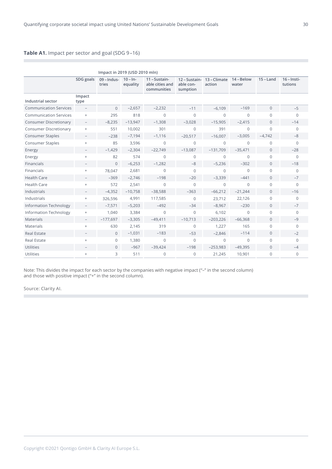# **Table A1.** Impact per sector and goal (SDG 9–16)

|                               | Impact in 2019 (USD 2010 mln)    |                        |                        |                                                 |                                        |                        |                     |                |                          |  |
|-------------------------------|----------------------------------|------------------------|------------------------|-------------------------------------------------|----------------------------------------|------------------------|---------------------|----------------|--------------------------|--|
|                               | SDG goals                        | $09$ – Indus-<br>tries | $10 - In-$<br>equality | 11 - Sustain-<br>able cities and<br>communities | 12 – Sustain-<br>able con-<br>sumption | 13 – Climate<br>action | 14 - Below<br>water | $15 -$ Land    | $16$ – Insti-<br>tutions |  |
| <b>Industrial sector</b>      | Impact<br>type                   |                        |                        |                                                 |                                        |                        |                     |                |                          |  |
| <b>Communication Services</b> | $\overline{\phantom{a}}$         | $\Omega$               | $-2,657$               | $-2,232$                                        | $-11$                                  | $-6,109$               | $-169$              | $\mathbf{0}$   | $-5$                     |  |
| <b>Communication Services</b> | $+$                              | 295                    | 818                    | $\Omega$                                        | $\Omega$                               | $\Omega$               | $\Omega$            | $\Omega$       | $\Omega$                 |  |
| <b>Consumer Discretionary</b> | $\overline{\phantom{a}}$         | $-8,235$               | $-13,947$              | $-1,308$                                        | $-3,028$                               | $-15,905$              | $-2,415$            | $\Omega$       | $-14$                    |  |
| <b>Consumer Discretionary</b> | $+$                              | 551                    | 10,002                 | 301                                             | $\Omega$                               | 391                    | $\Omega$            | $\Omega$       | $\Omega$                 |  |
| <b>Consumer Staples</b>       | $\overline{\phantom{a}}$         | $-238$                 | $-7,194$               | $-1,116$                                        | $-20,517$                              | $-16,007$              | $-3,005$            | $-4,742$       | $-8$                     |  |
| Consumer Staples              | $^{+}$                           | 85                     | 3,596                  | $\Omega$                                        | $\Omega$                               | $\Omega$               | $\Omega$            | $\Omega$       | $\mathbf 0$              |  |
| Energy                        |                                  | $-1,429$               | $-2,304$               | $-22,749$                                       | $-13,087$                              | $-131,709$             | $-35,471$           | $\overline{0}$ | $-28$                    |  |
| Energy                        | $^{+}$                           | 82                     | 574                    | $\Omega$                                        | $\Omega$                               | $\Omega$               | $\Omega$            | $\Omega$       | $\Omega$                 |  |
| Financials                    | $\qquad \qquad -$                | $\overline{0}$         | $-6,253$               | $-1,282$                                        | $-8$                                   | $-5,236$               | $-302$              | $\mathbf 0$    | $-18$                    |  |
| Financials                    | $+$                              | 78,047                 | 2,681                  | $\Omega$                                        | $\Omega$                               | $\Omega$               | $\Omega$            | $\Omega$       | $\mathbf 0$              |  |
| <b>Health Care</b>            |                                  | $-369$                 | $-2,746$               | $-198$                                          | $-20$                                  | $-3,339$               | $-441$              | $\Omega$       | $-7$                     |  |
| <b>Health Care</b>            | $+$                              | 572                    | 2,541                  | $\Omega$                                        | $\Omega$                               | $\Omega$               | $\Omega$            | $\Omega$       | $\mathbf 0$              |  |
| Industrials                   |                                  | $-4,352$               | $-10,758$              | $-38,588$                                       | $-363$                                 | $-66,212$              | $-21,244$           | $\mathbf{0}$   | $-16$                    |  |
| Industrials                   | $+$                              | 326,596                | 4,991                  | 117,585                                         | $\Omega$                               | 23,712                 | 22,126              | $\Omega$       | $\mathbf 0$              |  |
| <b>Information Technology</b> | $\overline{\phantom{a}}$         | $-7,571$               | $-5,203$               | $-492$                                          | $-34$                                  | $-8,967$               | $-230$              | $\overline{0}$ | $-7$                     |  |
| <b>Information Technology</b> | $\! + \!\!\!\!$                  | 1,040                  | 3,384                  | $\mathbf{0}$                                    | $\overline{0}$                         | 6,102                  | $\overline{0}$      | $\mathbf 0$    | $\mathbf 0$              |  |
| <b>Materials</b>              | $\overline{\phantom{0}}$         | $-177,697$             | $-3,305$               | $-49,411$                                       | $-10,713$                              | $-203,226$             | $-66,368$           | $\Omega$       | $-9$                     |  |
| Materials                     | $+$                              | 630                    | 2,145                  | 319                                             | $\Omega$                               | 1,227                  | 165                 | $\Omega$       | $\Omega$                 |  |
| <b>Real Estate</b>            |                                  | $\mathbf{0}$           | $-1,031$               | $-183$                                          | $-53$                                  | $-2,846$               | $-114$              | $\mathbf 0$    | $-2$                     |  |
| <b>Real Estate</b>            | $\begin{array}{c} + \end{array}$ | $\mathbf 0$            | 1,380                  | $\mathbf{0}$                                    | $\overline{0}$                         | $\mathbf{0}$           | $\overline{0}$      | $\mathbf 0$    | $\mathbf 0$              |  |
| Utilities                     |                                  | $\overline{0}$         | $-967$                 | $-39,424$                                       | $-198$                                 | $-253,983$             | $-49,395$           | $\overline{0}$ | $-4$                     |  |
| <b>Utilities</b>              | $\begin{array}{c} + \end{array}$ | 3                      | 511                    | $\mathbf 0$                                     | $\Omega$                               | 21,245                 | 10,901              | 0              | $\mathbf 0$              |  |

Note: This divides the impact for each sector by the companies with negative impact ("–" in the second column) and those with positive impact ("+" in the second column).

Source: Clarity AI.

r.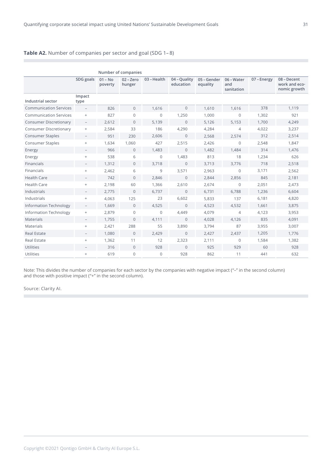# **Table A2.** Number of companies per sector and goal (SDG 1– 8)

|                               | Number of companies              |                      |                   |                |                           |                         |                                 |             |                                              |  |
|-------------------------------|----------------------------------|----------------------|-------------------|----------------|---------------------------|-------------------------|---------------------------------|-------------|----------------------------------------------|--|
|                               | SDG goals                        | $01 - No$<br>poverty | 02-Zero<br>hunger | 03 - Health    | 04 - Quality<br>education | 05 – Gender<br>equality | 06 - Water<br>and<br>sanitation | 07 - Energy | 08 - Decent<br>work and eco-<br>nomic growth |  |
| <b>Industrial sector</b>      | Impact<br>type                   |                      |                   |                |                           |                         |                                 |             |                                              |  |
| <b>Communication Services</b> | $\overline{\phantom{0}}$         | 826                  | $\mathbf{0}$      | 1,616          | $\Omega$                  | 1.610                   | 1,616                           | 378         | 1,119                                        |  |
| <b>Communication Services</b> | $\! +$                           | 827                  | $\overline{0}$    | $\mathbf 0$    | 1,250                     | 1,000                   | $\overline{0}$                  | 1,302       | 921                                          |  |
| <b>Consumer Discretionary</b> | $\overline{\phantom{0}}$         | 2.612                | $\Omega$          | 5,139          | $\Omega$                  | 5,126                   | 5,153                           | 1,700       | 4,249                                        |  |
| <b>Consumer Discretionary</b> | $\! + \!\!\!\!$                  | 2,584                | 33                | 186            | 4,290                     | 4,284                   | 4                               | 4.022       | 3,237                                        |  |
| <b>Consumer Staples</b>       | $\overline{\phantom{a}}$         | 951                  | 230               | 2.606          | $\mathbf{0}$              | 2,568                   | 2,574                           | 312         | 2,514                                        |  |
| <b>Consumer Staples</b>       | $\! + \!\!\!\!$                  | 1,634                | 1,060             | 427            | 2,515                     | 2,426                   | $\overline{0}$                  | 2,548       | 1.847                                        |  |
| Energy                        |                                  | 966                  | $\overline{0}$    | 1,483          | $\overline{0}$            | 1,482                   | 1,484                           | 314         | 1,476                                        |  |
| Energy                        | $+$                              | 538                  | 6                 | $\overline{0}$ | 1.483                     | 813                     | 18                              | 1,234       | 626                                          |  |
| Financials                    | -                                | 1.312                | $\overline{0}$    | 3.718          | $\overline{0}$            | 3,713                   | 3,776                           | 718         | 2,518                                        |  |
| Financials                    | $+$                              | 2,462                | 6                 | 9              | 3,571                     | 2,963                   | $\overline{0}$                  | 3,171       | 2,562                                        |  |
| <b>Health Care</b>            | $\overline{\phantom{0}}$         | 742                  | $\Omega$          | 2,846          | $\Omega$                  | 2,844                   | 2,856                           | 845         | 2,181                                        |  |
| <b>Health Care</b>            | $\! + \!\!\!\!$                  | 2,198                | 60                | 1,366          | 2,610                     | 2,674                   | $\overline{0}$                  | 2,051       | 2,473                                        |  |
| Industrials                   |                                  | 2,775                | $\overline{0}$    | 6,737          | $\overline{0}$            | 6,731                   | 6,788                           | 1,236       | 6,604                                        |  |
| Industrials                   | $\! +$                           | 4,063                | 125               | 23             | 6,602                     | 5,833                   | 137                             | 6,181       | 4,820                                        |  |
| <b>Information Technology</b> | $\overline{\phantom{0}}$         | 1.669                | $\mathbf{0}$      | 4,525          | $\overline{0}$            | 4,523                   | 4,532                           | 1,661       | 3,875                                        |  |
| <b>Information Technology</b> | $^+$                             | 2,879                | $\overline{0}$    | $\overline{0}$ | 4.449                     | 4,079                   | $\overline{4}$                  | 4.123       | 3,953                                        |  |
| <b>Materials</b>              | $-$                              | 1,755                | $\overline{0}$    | 4,111          | $\Omega$                  | 4,028                   | 4,126                           | 835         | 4,091                                        |  |
| <b>Materials</b>              | $\! +$                           | 2,421                | 288               | 55             | 3,890                     | 3,794                   | 87                              | 3,955       | 3,007                                        |  |
| <b>Real Estate</b>            | $\overline{\phantom{0}}$         | 1,080                | $\overline{0}$    | 2,429          | $\mathbf{0}$              | 2,427                   | 2.437                           | 1,205       | 1.776                                        |  |
| <b>Real Estate</b>            | $+$                              | 1,362                | 11                | 12             | 2,323                     | 2,111                   | $\mathbf{0}$                    | 1,584       | 1,382                                        |  |
| <b>Utilities</b>              |                                  | 316                  | $\overline{0}$    | 928            | $\overline{0}$            | 925                     | 929                             | 60          | 928                                          |  |
| Utilities                     | $\begin{array}{c} + \end{array}$ | 619                  | $\overline{0}$    | $\overline{0}$ | 928                       | 862                     | 11                              | 441         | 632                                          |  |

Note: This divides the number of companies for each sector by the companies with negative impact ("–" in the second column) and those with positive impact ("+" in the second column).

Source: Clarity AI.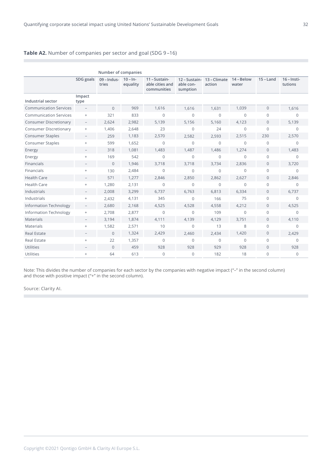# **Table A2.** Number of companies per sector and goal (SDG 9 –16)

|                               | Number of companies              |                        |                        |                                                 |                                        |                        |                     |                |                          |
|-------------------------------|----------------------------------|------------------------|------------------------|-------------------------------------------------|----------------------------------------|------------------------|---------------------|----------------|--------------------------|
|                               | SDG goals                        | $09$ – Indus-<br>tries | $10 - In-$<br>equality | 11 - Sustain-<br>able cities and<br>communities | 12 - Sustain-<br>able con-<br>sumption | 13 - Climate<br>action | 14 - Below<br>water | $15 -$ Land    | $16$ – Insti-<br>tutions |
| <b>Industrial sector</b>      | Impact<br>type                   |                        |                        |                                                 |                                        |                        |                     |                |                          |
| <b>Communication Services</b> | $\qquad \qquad -$                | $\Omega$               | 969                    | 1.616                                           | 1,616                                  | 1,631                  | 1,039               | $\overline{0}$ | 1,616                    |
| <b>Communication Services</b> | $\, +$                           | 321                    | 833                    | $\Omega$                                        | $\mathbf 0$                            | $\Omega$               | $\Omega$            | 0              | $\Omega$                 |
| <b>Consumer Discretionary</b> | $\overline{\phantom{a}}$         | 2,624                  | 2,982                  | 5,139                                           | 5,156                                  | 5,160                  | 4,123               | $\Omega$       | 5,139                    |
| <b>Consumer Discretionary</b> | $^+$                             | 1.406                  | 2,648                  | 23                                              | $\mathbf 0$                            | 24                     | $\Omega$            | 0              | $\Omega$                 |
| <b>Consumer Staples</b>       | $\overline{\phantom{0}}$         | 259                    | 1,183                  | 2.570                                           | 2.582                                  | 2,593                  | 2.515               | 230            | 2,570                    |
| <b>Consumer Staples</b>       | $\! + \!\!\!\!$                  | 599                    | 1,652                  | $\mathbf 0$                                     | $\mathbf{0}$                           | $\mathbf{0}$           | $\mathbf 0$         | $\mathbf{0}$   | $\mathbf 0$              |
| Energy                        |                                  | 318                    | 1,081                  | 1,483                                           | 1,487                                  | 1.486                  | 1,274               | $\overline{0}$ | 1,483                    |
| Energy                        | $\begin{array}{c} + \end{array}$ | 169                    | 542                    | $\overline{0}$                                  | $\mathbf{0}$                           | $\Omega$               | $\Omega$            | 0              | $\Omega$                 |
| Financials                    | -                                | $\overline{0}$         | 1,946                  | 3,718                                           | 3,718                                  | 3,734                  | 2,836               | 0              | 3,720                    |
| Financials                    | $^{+}$                           | 130                    | 2,484                  | $\Omega$                                        | $\mathbf 0$                            | $\Omega$               | $\Omega$            | $\Omega$       | $\Omega$                 |
| <b>Health Care</b>            | $\overline{\phantom{0}}$         | 571                    | 1,277                  | 2,846                                           | 2,850                                  | 2,862                  | 2,627               | 0              | 2,846                    |
| <b>Health Care</b>            | $^{+}$                           | 1,280                  | 2,131                  | $\overline{0}$                                  | $\mathbf 0$                            | $\mathbf{0}$           | $\overline{0}$      | 0              | $\Omega$                 |
| Industrials                   |                                  | 2,008                  | 3,299                  | 6.737                                           | 6.763                                  | 6,813                  | 6,334               | 0              | 6,737                    |
| Industrials                   | $+$                              | 2,432                  | 4,131                  | 345                                             | $\mathbf{0}$                           | 166                    | 75                  | 0              | $\Omega$                 |
| <b>Information Technology</b> | $\overline{\phantom{0}}$         | 2,680                  | 2,168                  | 4,525                                           | 4,528                                  | 4,558                  | 4,212               | 0              | 4,525                    |
| <b>Information Technology</b> | $+$                              | 2,708                  | 2,877                  | $\Omega$                                        | $\Omega$                               | 109                    | $\Omega$            | 0              | $\Omega$                 |
| <b>Materials</b>              | $\overline{\phantom{0}}$         | 3,194                  | 1,874                  | 4,111                                           | 4,139                                  | 4,129                  | 3,751               | $\Omega$       | 4,110                    |
| <b>Materials</b>              | $+$                              | 1,582                  | 2,571                  | 10                                              | $\Omega$                               | 13                     | 8                   | $\Omega$       | $\Omega$                 |
| <b>Real Estate</b>            | $\qquad \qquad -$                | $\Omega$               | 1,324                  | 2,429                                           | 2,460                                  | 2,434                  | 1,420               | $\overline{0}$ | 2,429                    |
| Real Estate                   | $+$                              | 22                     | 1,357                  | $\mathbf{0}$                                    | $\mathbf 0$                            | $\mathbf{0}$           | $\overline{0}$      | $\mathbf{0}$   | $\Omega$                 |
| <b>Utilities</b>              |                                  | $\Omega$               | 459                    | 928                                             | 928                                    | 929                    | 928                 | $\overline{0}$ | 928                      |
| Utilities                     | $^{+}$                           | 64                     | 613                    | $\mathbf 0$                                     | $\mathbf 0$                            | 182                    | 18                  | $\overline{0}$ | $\mathbf{0}$             |

Note: This divides the number of companies for each sector by the companies with negative impact ("–" in the second column) and those with positive impact ("+" in the second column).

Source: Clarity AI.